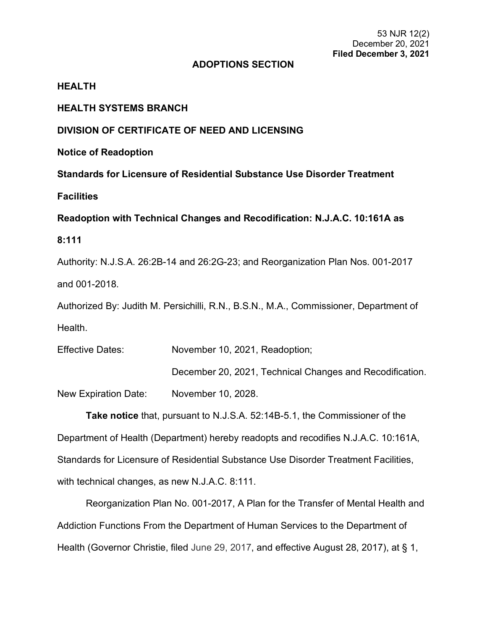## **ADOPTIONS SECTION**

## **HEALTH**

## **HEALTH SYSTEMS BRANCH**

## **DIVISION OF CERTIFICATE OF NEED AND LICENSING**

**Notice of Readoption**

**Standards for Licensure of Residential Substance Use Disorder Treatment** 

**Facilities**

**Readoption with Technical Changes and Recodification: N.J.A.C. 10:161A as** 

## **8:111**

Authority: N.J.S.A. 26:2B-14 and 26:2G-23; and Reorganization Plan Nos. 001-2017 and 001-2018.

Authorized By: Judith M. Persichilli, R.N., B.S.N., M.A., Commissioner, Department of Health.

| <b>Effective Dates:</b> | November 10, 2021, Readoption;                           |  |  |  |  |
|-------------------------|----------------------------------------------------------|--|--|--|--|
|                         | December 20, 2021, Technical Changes and Recodification. |  |  |  |  |
| New Expiration Date:    | November 10, 2028.                                       |  |  |  |  |

**Take notice** that, pursuant to N.J.S.A. 52:14B-5.1, the Commissioner of the Department of Health (Department) hereby readopts and recodifies N.J.A.C. 10:161A, Standards for Licensure of Residential Substance Use Disorder Treatment Facilities, with technical changes, as new N.J.A.C. 8:111.

Reorganization Plan No. 001-2017, A Plan for the Transfer of Mental Health and Addiction Functions From the Department of Human Services to the Department of Health (Governor Christie, filed June 29, 2017, and effective August 28, 2017), at § 1,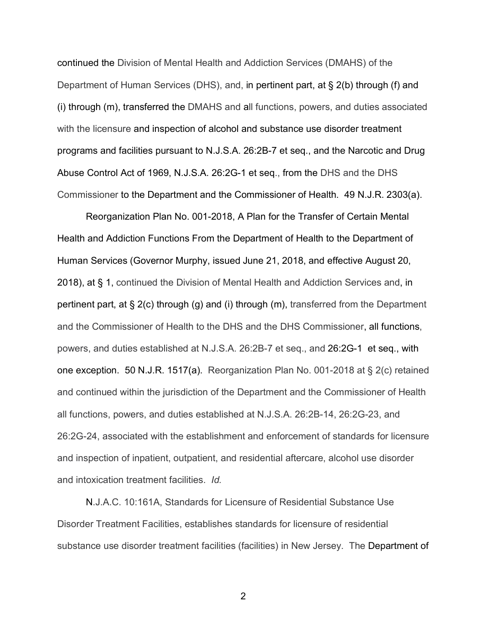continued the Division of Mental Health and Addiction Services (DMAHS) of the Department of Human Services (DHS), and, in pertinent part, at § 2(b) through (f) and (i) through (m), transferred the DMAHS and all functions, powers, and duties associated with the licensure and inspection of alcohol and substance use disorder treatment programs and facilities pursuant to N.J.S.A. 26:2B-7 et seq., and the Narcotic and Drug Abuse Control Act of 1969, N.J.S.A. 26:2G-1 et seq., from the DHS and the DHS Commissioner to the Department and the Commissioner of Health. 49 N.J.R. 2303(a).

Reorganization Plan No. 001-2018, A Plan for the Transfer of Certain Mental Health and Addiction Functions From the Department of Health to the Department of Human Services (Governor Murphy, issued June 21, 2018, and effective August 20, 2018), at § 1, continued the Division of Mental Health and Addiction Services and, in pertinent part, at § 2(c) through (g) and (i) through (m), transferred from the Department and the Commissioner of Health to the DHS and the DHS Commissioner, all functions, powers, and duties established at N.J.S.A. 26:2B-7 et seq., and 26:2G-1 et seq., with one exception. 50 N.J.R. 1517(a). Reorganization Plan No. 001-2018 at § 2(c) retained and continued within the jurisdiction of the Department and the Commissioner of Health all functions, powers, and duties established at N.J.S.A. 26:2B-14, 26:2G-23, and 26:2G-24, associated with the establishment and enforcement of standards for licensure and inspection of inpatient, outpatient, and residential aftercare, alcohol use disorder and intoxication treatment facilities. *Id.*

N.J.A.C. 10:161A, Standards for Licensure of Residential Substance Use Disorder Treatment Facilities, establishes standards for licensure of residential substance use disorder treatment facilities (facilities) in New Jersey. The Department of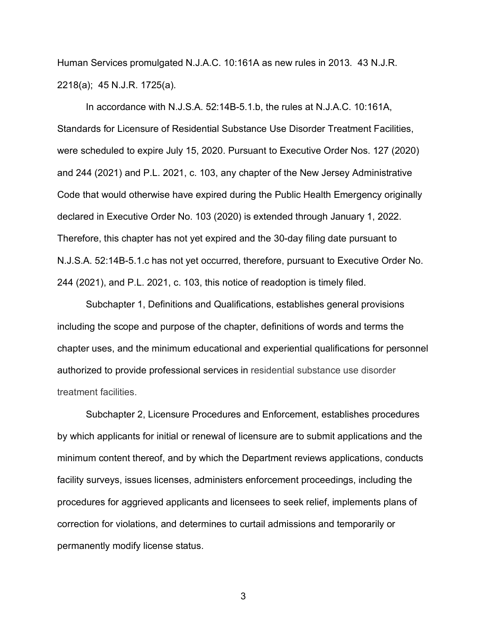Human Services promulgated N.J.A.C. 10:161A as new rules in 2013. 43 N.J.R. 2218(a); 45 N.J.R. 1725(a).

In accordance with N.J.S.A. 52:14B-5.1.b, the rules at N.J.A.C. 10:161A, Standards for Licensure of Residential Substance Use Disorder Treatment Facilities, were scheduled to expire July 15, 2020. Pursuant to Executive Order Nos. 127 (2020) and 244 (2021) and P.L. 2021, c. 103, any chapter of the New Jersey Administrative Code that would otherwise have expired during the Public Health Emergency originally declared in Executive Order No. 103 (2020) is extended through January 1, 2022. Therefore, this chapter has not yet expired and the 30-day filing date pursuant to N.J.S.A. 52:14B-5.1.c has not yet occurred, therefore, pursuant to Executive Order No. 244 (2021), and P.L. 2021, c. 103, this notice of readoption is timely filed.

Subchapter 1, Definitions and Qualifications, establishes general provisions including the scope and purpose of the chapter, definitions of words and terms the chapter uses, and the minimum educational and experiential qualifications for personnel authorized to provide professional services in residential substance use disorder treatment facilities.

Subchapter 2, Licensure Procedures and Enforcement, establishes procedures by which applicants for initial or renewal of licensure are to submit applications and the minimum content thereof, and by which the Department reviews applications, conducts facility surveys, issues licenses, administers enforcement proceedings, including the procedures for aggrieved applicants and licensees to seek relief, implements plans of correction for violations, and determines to curtail admissions and temporarily or permanently modify license status.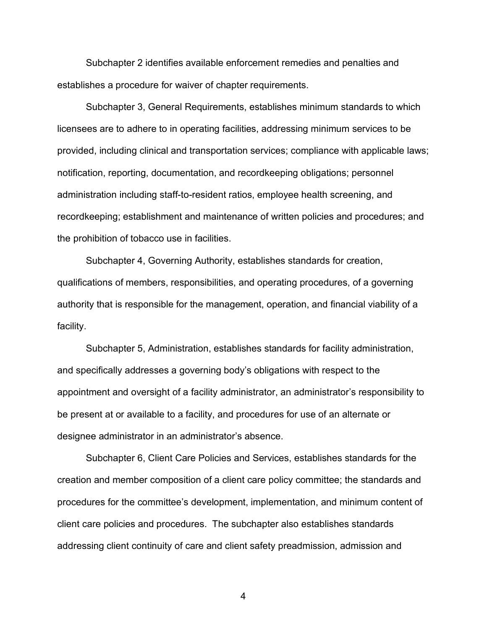Subchapter 2 identifies available enforcement remedies and penalties and establishes a procedure for waiver of chapter requirements.

Subchapter 3, General Requirements, establishes minimum standards to which licensees are to adhere to in operating facilities, addressing minimum services to be provided, including clinical and transportation services; compliance with applicable laws; notification, reporting, documentation, and recordkeeping obligations; personnel administration including staff-to-resident ratios, employee health screening, and recordkeeping; establishment and maintenance of written policies and procedures; and the prohibition of tobacco use in facilities.

Subchapter 4, Governing Authority, establishes standards for creation, qualifications of members, responsibilities, and operating procedures, of a governing authority that is responsible for the management, operation, and financial viability of a facility.

Subchapter 5, Administration, establishes standards for facility administration, and specifically addresses a governing body's obligations with respect to the appointment and oversight of a facility administrator, an administrator's responsibility to be present at or available to a facility, and procedures for use of an alternate or designee administrator in an administrator's absence.

Subchapter 6, Client Care Policies and Services, establishes standards for the creation and member composition of a client care policy committee; the standards and procedures for the committee's development, implementation, and minimum content of client care policies and procedures. The subchapter also establishes standards addressing client continuity of care and client safety preadmission, admission and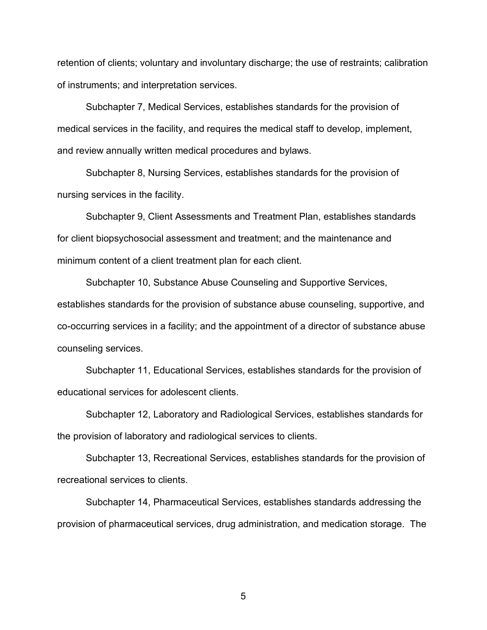retention of clients; voluntary and involuntary discharge; the use of restraints; calibration of instruments; and interpretation services.

Subchapter 7, Medical Services, establishes standards for the provision of medical services in the facility, and requires the medical staff to develop, implement, and review annually written medical procedures and bylaws.

Subchapter 8, Nursing Services, establishes standards for the provision of nursing services in the facility.

Subchapter 9, Client Assessments and Treatment Plan, establishes standards for client biopsychosocial assessment and treatment; and the maintenance and minimum content of a client treatment plan for each client.

Subchapter 10, Substance Abuse Counseling and Supportive Services, establishes standards for the provision of substance abuse counseling, supportive, and co-occurring services in a facility; and the appointment of a director of substance abuse counseling services.

Subchapter 11, Educational Services, establishes standards for the provision of educational services for adolescent clients.

Subchapter 12, Laboratory and Radiological Services, establishes standards for the provision of laboratory and radiological services to clients.

Subchapter 13, Recreational Services, establishes standards for the provision of recreational services to clients.

Subchapter 14, Pharmaceutical Services, establishes standards addressing the provision of pharmaceutical services, drug administration, and medication storage. The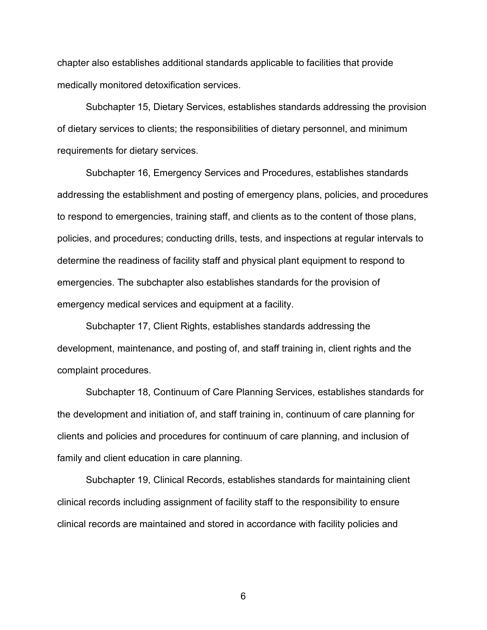chapter also establishes additional standards applicable to facilities that provide medically monitored detoxification services.

Subchapter 15, Dietary Services, establishes standards addressing the provision of dietary services to clients; the responsibilities of dietary personnel, and minimum requirements for dietary services.

Subchapter 16, Emergency Services and Procedures, establishes standards addressing the establishment and posting of emergency plans, policies, and procedures to respond to emergencies, training staff, and clients as to the content of those plans, policies, and procedures; conducting drills, tests, and inspections at regular intervals to determine the readiness of facility staff and physical plant equipment to respond to emergencies. The subchapter also establishes standards for the provision of emergency medical services and equipment at a facility.

Subchapter 17, Client Rights, establishes standards addressing the development, maintenance, and posting of, and staff training in, client rights and the complaint procedures.

Subchapter 18, Continuum of Care Planning Services, establishes standards for the development and initiation of, and staff training in, continuum of care planning for clients and policies and procedures for continuum of care planning, and inclusion of family and client education in care planning.

Subchapter 19, Clinical Records, establishes standards for maintaining client clinical records including assignment of facility staff to the responsibility to ensure clinical records are maintained and stored in accordance with facility policies and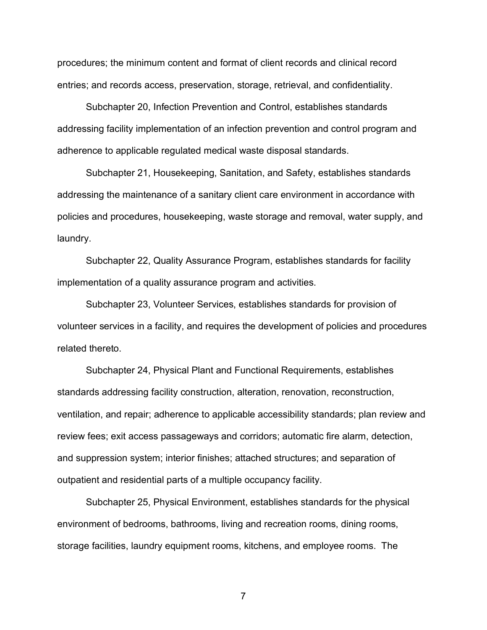procedures; the minimum content and format of client records and clinical record entries; and records access, preservation, storage, retrieval, and confidentiality.

Subchapter 20, Infection Prevention and Control, establishes standards addressing facility implementation of an infection prevention and control program and adherence to applicable regulated medical waste disposal standards.

Subchapter 21, Housekeeping, Sanitation, and Safety, establishes standards addressing the maintenance of a sanitary client care environment in accordance with policies and procedures, housekeeping, waste storage and removal, water supply, and laundry.

Subchapter 22, Quality Assurance Program, establishes standards for facility implementation of a quality assurance program and activities.

Subchapter 23, Volunteer Services, establishes standards for provision of volunteer services in a facility, and requires the development of policies and procedures related thereto.

Subchapter 24, Physical Plant and Functional Requirements, establishes standards addressing facility construction, alteration, renovation, reconstruction, ventilation, and repair; adherence to applicable accessibility standards; plan review and review fees; exit access passageways and corridors; automatic fire alarm, detection, and suppression system; interior finishes; attached structures; and separation of outpatient and residential parts of a multiple occupancy facility.

Subchapter 25, Physical Environment, establishes standards for the physical environment of bedrooms, bathrooms, living and recreation rooms, dining rooms, storage facilities, laundry equipment rooms, kitchens, and employee rooms. The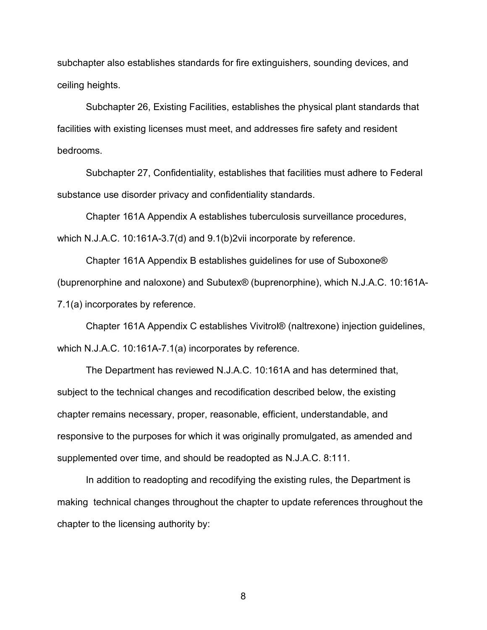subchapter also establishes standards for fire extinguishers, sounding devices, and ceiling heights.

Subchapter 26, Existing Facilities, establishes the physical plant standards that facilities with existing licenses must meet, and addresses fire safety and resident bedrooms.

Subchapter 27, Confidentiality, establishes that facilities must adhere to Federal substance use disorder privacy and confidentiality standards.

Chapter 161A Appendix A establishes tuberculosis surveillance procedures, which N.J.A.C. 10:161A-3.7(d) and 9.1(b)2vii incorporate by reference.

Chapter 161A Appendix B establishes guidelines for use of Suboxone® (buprenorphine and naloxone) and Subutex® (buprenorphine), which N.J.A.C. 10:161A-7.1(a) incorporates by reference.

Chapter 161A Appendix C establishes Vivitrol® (naltrexone) injection guidelines, which N.J.A.C. 10:161A-7.1(a) incorporates by reference.

The Department has reviewed N.J.A.C. 10:161A and has determined that, subject to the technical changes and recodification described below, the existing chapter remains necessary, proper, reasonable, efficient, understandable, and responsive to the purposes for which it was originally promulgated, as amended and supplemented over time, and should be readopted as N.J.A.C. 8:111.

In addition to readopting and recodifying the existing rules, the Department is making technical changes throughout the chapter to update references throughout the chapter to the licensing authority by: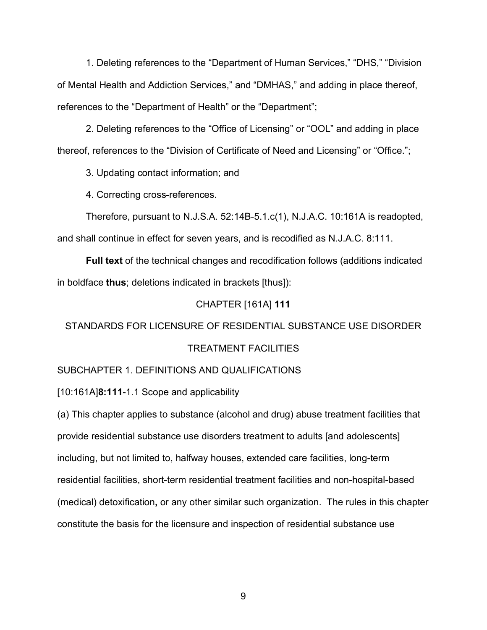1. Deleting references to the "Department of Human Services," "DHS," "Division of Mental Health and Addiction Services," and "DMHAS," and adding in place thereof, references to the "Department of Health" or the "Department";

2. Deleting references to the "Office of Licensing" or "OOL" and adding in place thereof, references to the "Division of Certificate of Need and Licensing" or "Office.";

3. Updating contact information; and

4. Correcting cross-references.

Therefore, pursuant to N.J.S.A. 52:14B-5.1.c(1), N.J.A.C. 10:161A is readopted, and shall continue in effect for seven years, and is recodified as N.J.A.C. 8:111.

**Full text** of the technical changes and recodification follows (additions indicated in boldface **thus**; deletions indicated in brackets [thus]):

## CHAPTER [161A] **111**

# STANDARDS FOR LICENSURE OF RESIDENTIAL SUBSTANCE USE DISORDER TREATMENT FACILITIES

## SUBCHAPTER 1. DEFINITIONS AND QUALIFICATIONS

[10:161A]**8:111**-1.1 Scope and applicability

(a) This chapter applies to substance (alcohol and drug) abuse treatment facilities that provide residential substance use disorders treatment to adults [and adolescents] including, but not limited to, halfway houses, extended care facilities, long-term residential facilities, short-term residential treatment facilities and non-hospital-based (medical) detoxification**,** or any other similar such organization. The rules in this chapter constitute the basis for the licensure and inspection of residential substance use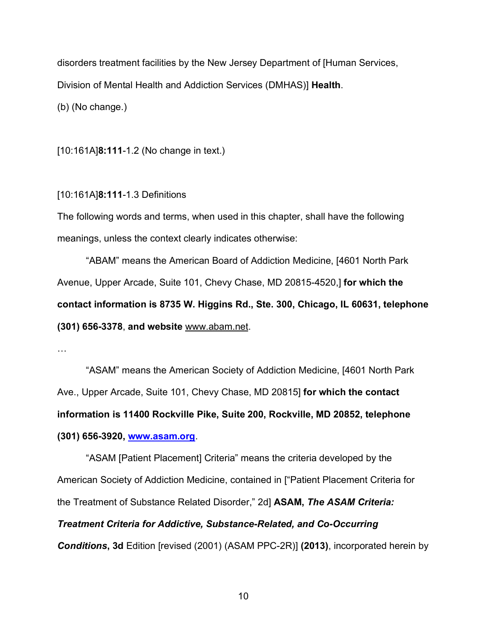disorders treatment facilities by the New Jersey Department of [Human Services, Division of Mental Health and Addiction Services (DMHAS)] **Health**.

(b) (No change.)

[10:161A]**8:111**-1.2 (No change in text.)

## [10:161A]**8:111**-1.3 Definitions

The following words and terms, when used in this chapter, shall have the following meanings, unless the context clearly indicates otherwise:

"ABAM" means the American Board of Addiction Medicine, [4601 North Park Avenue, Upper Arcade, Suite 101, Chevy Chase, MD 20815-4520,] **for which the contact information is 8735 W. Higgins Rd., Ste. 300, Chicago, IL 60631, telephone (301) 656-3378**, **and website** www.abam.net.

…

"ASAM" means the American Society of Addiction Medicine, [4601 North Park Ave., Upper Arcade, Suite 101, Chevy Chase, MD 20815] **for which the contact information is 11400 Rockville Pike, Suite 200, Rockville, MD 20852, telephone (301) 656-3920, [www.asam.org](http://www.asam.org/)**.

"ASAM [Patient Placement] Criteria" means the criteria developed by the American Society of Addiction Medicine, contained in ["Patient Placement Criteria for the Treatment of Substance Related Disorder," 2d] **ASAM,** *The ASAM Criteria: Treatment Criteria for Addictive, Substance-Related, and Co-Occurring Conditions***, 3d** Edition [revised (2001) (ASAM PPC-2R)] **(2013)**, incorporated herein by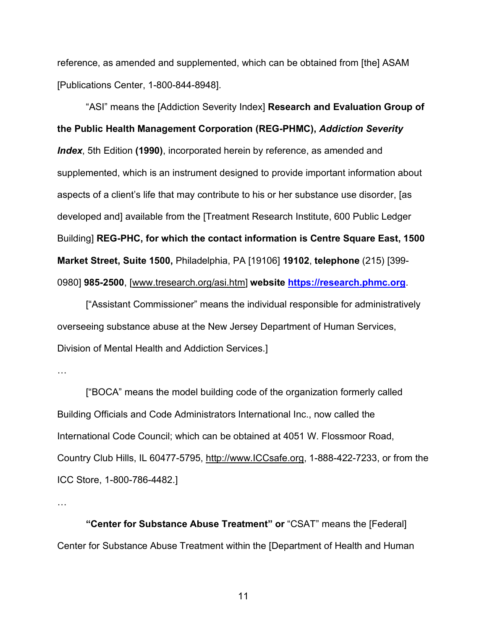reference, as amended and supplemented, which can be obtained from [the] ASAM [Publications Center, 1-800-844-8948].

"ASI" means the [Addiction Severity Index] **Research and Evaluation Group of the Public Health Management Corporation (REG-PHMC),** *Addiction Severity Index*, 5th Edition **(1990)**, incorporated herein by reference, as amended and supplemented, which is an instrument designed to provide important information about aspects of a client's life that may contribute to his or her substance use disorder, [as developed and] available from the [Treatment Research Institute, 600 Public Ledger Building] **REG-PHC, for which the contact information is Centre Square East, 1500 Market Street, Suite 1500,** Philadelphia, PA [19106] **19102**, **telephone** (215) [399- 0980] **985-2500**, [www.tresearch.org/asi.htm] **website [https://research.phmc.org](https://research.phmc.org/)**.

["Assistant Commissioner" means the individual responsible for administratively overseeing substance abuse at the New Jersey Department of Human Services, Division of Mental Health and Addiction Services.]

["BOCA" means the model building code of the organization formerly called Building Officials and Code Administrators International Inc., now called the International Code Council; which can be obtained at 4051 W. Flossmoor Road, Country Club Hills, IL 60477-5795, http://www.ICCsafe.org, 1-888-422-7233, or from the ICC Store, 1-800-786-4482.]

…

**"Center for Substance Abuse Treatment" or** "CSAT" means the [Federal] Center for Substance Abuse Treatment within the [Department of Health and Human

<sup>…</sup>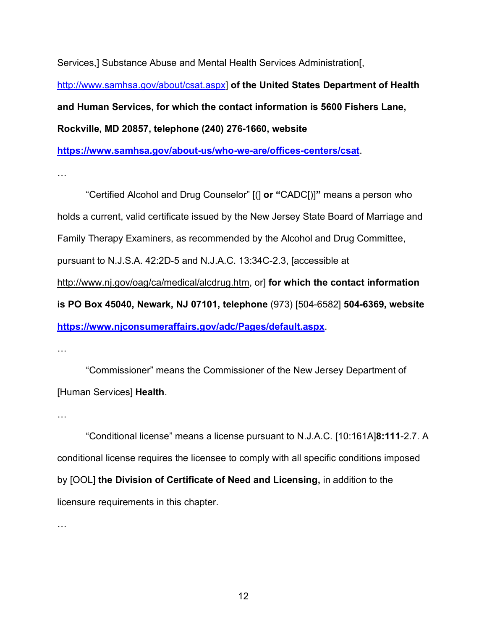Services,] Substance Abuse and Mental Health Services Administration[,

[http://www.samhsa.gov/about/csat.aspx\]](http://www.samhsa.gov/about/csat.aspx) **of the United States Department of Health and Human Services, for which the contact information is 5600 Fishers Lane, Rockville, MD 20857, telephone (240) 276-1660, website** 

**<https://www.samhsa.gov/about-us/who-we-are/offices-centers/csat>**.

…

"Certified Alcohol and Drug Counselor" [(] **or "**CADC[)]**"** means a person who holds a current, valid certificate issued by the New Jersey State Board of Marriage and Family Therapy Examiners, as recommended by the Alcohol and Drug Committee, pursuant to N.J.S.A. 42:2D-5 and N.J.A.C. 13:34C-2.3, [accessible at http://www.nj.gov/oag/ca/medical/alcdrug.htm, or] **for which the contact information is PO Box 45040, Newark, NJ 07101, telephone** (973) [504-6582] **504-6369, website <https://www.njconsumeraffairs.gov/adc/Pages/default.aspx>**.

…

"Commissioner" means the Commissioner of the New Jersey Department of [Human Services] **Health**.

…

"Conditional license" means a license pursuant to N.J.A.C. [10:161A]**8:111**-2.7. A conditional license requires the licensee to comply with all specific conditions imposed by [OOL] **the Division of Certificate of Need and Licensing,** in addition to the licensure requirements in this chapter.

…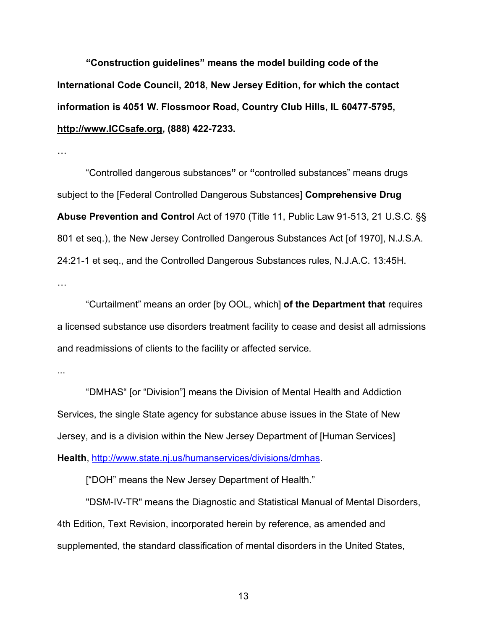**"Construction guidelines" means the model building code of the International Code Council, 2018**, **New Jersey Edition, for which the contact information is 4051 W. Flossmoor Road, Country Club Hills, IL 60477-5795, http://www.ICCsafe.org, (888) 422-7233.**

…

"Controlled dangerous substances**"** or **"**controlled substances" means drugs subject to the [Federal Controlled Dangerous Substances] **Comprehensive Drug Abuse Prevention and Control** Act of 1970 (Title 11, Public Law 91-513, 21 U.S.C. §§ 801 et seq.), the New Jersey Controlled Dangerous Substances Act [of 1970], N.J.S.A. 24:21-1 et seq., and the Controlled Dangerous Substances rules, N.J.A.C. 13:45H. …

"Curtailment" means an order [by OOL, which] **of the Department that** requires a licensed substance use disorders treatment facility to cease and desist all admissions and readmissions of clients to the facility or affected service.

...

"DMHAS" [or "Division"] means the Division of Mental Health and Addiction Services, the single State agency for substance abuse issues in the State of New Jersey, and is a division within the New Jersey Department of [Human Services] **Health**, [http://www.state.nj.us/humanservices/divisions/dmhas.](http://www.state.nj.us/humanservices/divisions/dmhas)

["DOH" means the New Jersey Department of Health."

"DSM-IV-TR" means the Diagnostic and Statistical Manual of Mental Disorders, 4th Edition, Text Revision, incorporated herein by reference, as amended and supplemented, the standard classification of mental disorders in the United States,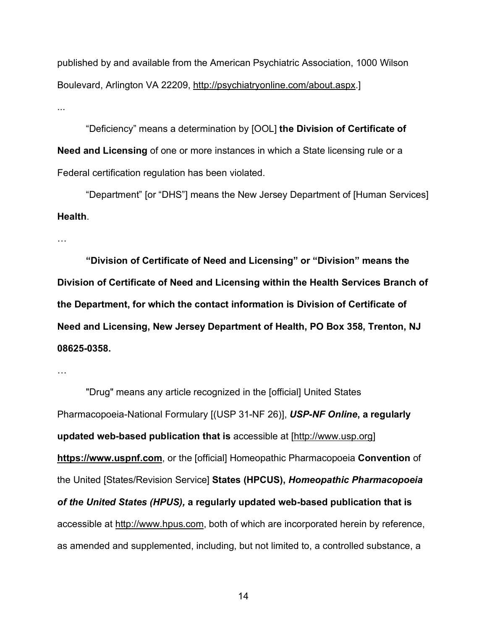published by and available from the American Psychiatric Association, 1000 Wilson Boulevard, Arlington VA 22209, http://psychiatryonline.com/about.aspx.] ...

"Deficiency" means a determination by [OOL] **the Division of Certificate of Need and Licensing** of one or more instances in which a State licensing rule or a Federal certification regulation has been violated.

"Department" [or "DHS"] means the New Jersey Department of [Human Services] **Health**.

…

**"Division of Certificate of Need and Licensing" or "Division" means the Division of Certificate of Need and Licensing within the Health Services Branch of the Department, for which the contact information is Division of Certificate of Need and Licensing, New Jersey Department of Health, PO Box 358, Trenton, NJ 08625-0358.**

…

"Drug" means any article recognized in the [official] United States Pharmacopoeia-National Formulary [(USP 31-NF 26)], *USP-NF Online***, a regularly updated web-based publication that is** accessible at [http://www.usp.org] **https://www.uspnf.com**, or the [official] Homeopathic Pharmacopoeia **Convention** of the United [States/Revision Service] **States (HPCUS),** *Homeopathic Pharmacopoeia of the United States (HPUS),* **a regularly updated web-based publication that is** accessible at http://www.hpus.com, both of which are incorporated herein by reference, as amended and supplemented, including, but not limited to, a controlled substance, a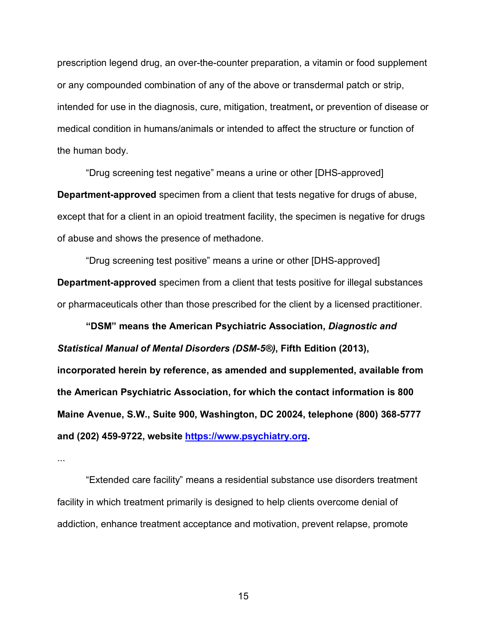prescription legend drug, an over-the-counter preparation, a vitamin or food supplement or any compounded combination of any of the above or transdermal patch or strip, intended for use in the diagnosis, cure, mitigation, treatment**,** or prevention of disease or medical condition in humans/animals or intended to affect the structure or function of the human body.

"Drug screening test negative" means a urine or other [DHS-approved] **Department-approved** specimen from a client that tests negative for drugs of abuse, except that for a client in an opioid treatment facility, the specimen is negative for drugs of abuse and shows the presence of methadone.

"Drug screening test positive" means a urine or other [DHS-approved] **Department-approved** specimen from a client that tests positive for illegal substances or pharmaceuticals other than those prescribed for the client by a licensed practitioner.

**"DSM" means the American Psychiatric Association,** *Diagnostic and Statistical Manual of Mental Disorders (DSM-5®)***, Fifth Edition (2013),** 

**incorporated herein by reference, as amended and supplemented, available from the American Psychiatric Association, for which the contact information is 800 Maine Avenue, S.W., Suite 900, Washington, DC 20024, telephone (800) 368-5777 and (202) 459-9722, website [https://www.psychiatry.org.](https://www.psychiatry.org/)**

...

"Extended care facility" means a residential substance use disorders treatment facility in which treatment primarily is designed to help clients overcome denial of addiction, enhance treatment acceptance and motivation, prevent relapse, promote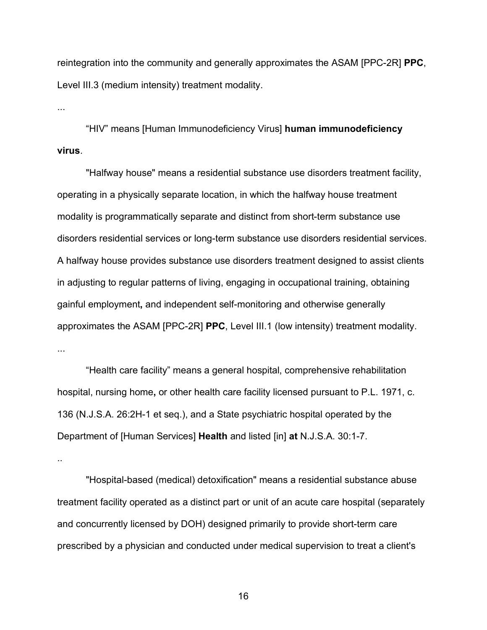reintegration into the community and generally approximates the ASAM [PPC-2R] **PPC**, Level III.3 (medium intensity) treatment modality.

...

"HIV" means [Human Immunodeficiency Virus] **human immunodeficiency virus**.

"Halfway house" means a residential substance use disorders treatment facility, operating in a physically separate location, in which the halfway house treatment modality is programmatically separate and distinct from short-term substance use disorders residential services or long-term substance use disorders residential services. A halfway house provides substance use disorders treatment designed to assist clients in adjusting to regular patterns of living, engaging in occupational training, obtaining gainful employment**,** and independent self-monitoring and otherwise generally approximates the ASAM [PPC-2R] **PPC**, Level III.1 (low intensity) treatment modality. ...

"Health care facility" means a general hospital, comprehensive rehabilitation hospital, nursing home**,** or other health care facility licensed pursuant to P.L. 1971, c. 136 (N.J.S.A. 26:2H-1 et seq.), and a State psychiatric hospital operated by the Department of [Human Services] **Health** and listed [in] **at** N.J.S.A. 30:1-7.

..

"Hospital-based (medical) detoxification" means a residential substance abuse treatment facility operated as a distinct part or unit of an acute care hospital (separately and concurrently licensed by DOH) designed primarily to provide short-term care prescribed by a physician and conducted under medical supervision to treat a client's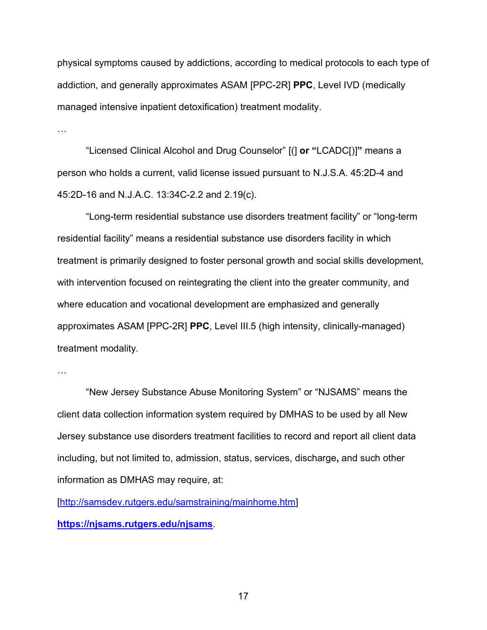physical symptoms caused by addictions, according to medical protocols to each type of addiction, and generally approximates ASAM [PPC-2R] **PPC**, Level IVD (medically managed intensive inpatient detoxification) treatment modality.

…

"Licensed Clinical Alcohol and Drug Counselor" [(] **or "**LCADC[)]**"** means a person who holds a current, valid license issued pursuant to N.J.S.A. 45:2D-4 and 45:2D-16 and N.J.A.C. 13:34C-2.2 and 2.19(c).

"Long-term residential substance use disorders treatment facility" or "long-term residential facility" means a residential substance use disorders facility in which treatment is primarily designed to foster personal growth and social skills development, with intervention focused on reintegrating the client into the greater community, and where education and vocational development are emphasized and generally approximates ASAM [PPC-2R] **PPC**, Level III.5 (high intensity, clinically-managed) treatment modality.

"New Jersey Substance Abuse Monitoring System" or "NJSAMS" means the client data collection information system required by DMHAS to be used by all New Jersey substance use disorders treatment facilities to record and report all client data including, but not limited to, admission, status, services, discharge**,** and such other information as DMHAS may require, at:

[\[http://samsdev.rutgers.edu/samstraining/mainhome.htm\]](http://samsdev.rutgers.edu/samstraining/mainhome.htm) **<https://njsams.rutgers.edu/njsams>**.

<sup>…</sup>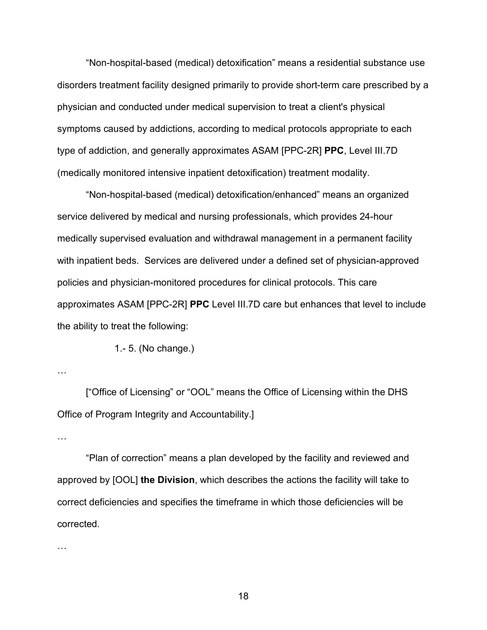"Non-hospital-based (medical) detoxification" means a residential substance use disorders treatment facility designed primarily to provide short-term care prescribed by a physician and conducted under medical supervision to treat a client's physical symptoms caused by addictions, according to medical protocols appropriate to each type of addiction, and generally approximates ASAM [PPC-2R] **PPC**, Level III.7D (medically monitored intensive inpatient detoxification) treatment modality.

"Non-hospital-based (medical) detoxification/enhanced" means an organized service delivered by medical and nursing professionals, which provides 24-hour medically supervised evaluation and withdrawal management in a permanent facility with inpatient beds. Services are delivered under a defined set of physician-approved policies and physician-monitored procedures for clinical protocols. This care approximates ASAM [PPC-2R] **PPC** Level III.7D care but enhances that level to include the ability to treat the following:

1.- 5. (No change.)

…

["Office of Licensing" or "OOL" means the Office of Licensing within the DHS Office of Program Integrity and Accountability.]

…

"Plan of correction" means a plan developed by the facility and reviewed and approved by [OOL] **the Division**, which describes the actions the facility will take to correct deficiencies and specifies the timeframe in which those deficiencies will be corrected.

…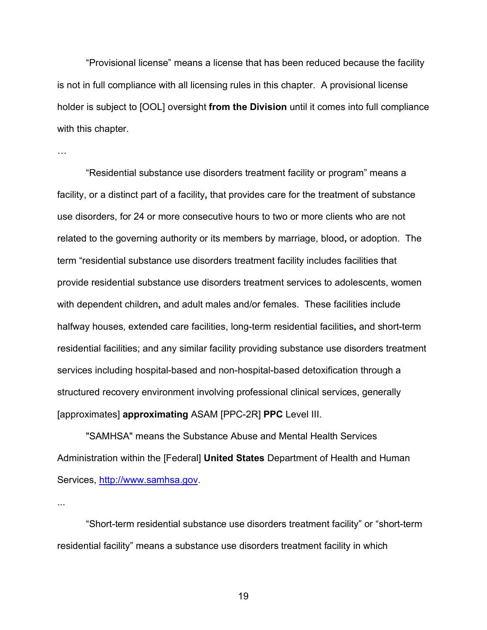"Provisional license" means a license that has been reduced because the facility is not in full compliance with all licensing rules in this chapter. A provisional license holder is subject to [OOL] oversight **from the Division** until it comes into full compliance with this chapter.

…

"Residential substance use disorders treatment facility or program" means a facility, or a distinct part of a facility**,** that provides care for the treatment of substance use disorders, for 24 or more consecutive hours to two or more clients who are not related to the governing authority or its members by marriage, blood**,** or adoption. The term "residential substance use disorders treatment facility includes facilities that provide residential substance use disorders treatment services to adolescents, women with dependent children**,** and adult males and/or females. These facilities include halfway houses, extended care facilities, long-term residential facilities**,** and short-term residential facilities; and any similar facility providing substance use disorders treatment services including hospital-based and non-hospital-based detoxification through a structured recovery environment involving professional clinical services, generally [approximates] **approximating** ASAM [PPC-2R] **PPC** Level III.

"SAMHSA" means the Substance Abuse and Mental Health Services Administration within the [Federal] **United States** Department of Health and Human Services, [http://www.samhsa.gov.](http://www.samhsa.gov/)

...

"Short-term residential substance use disorders treatment facility" or "short-term residential facility" means a substance use disorders treatment facility in which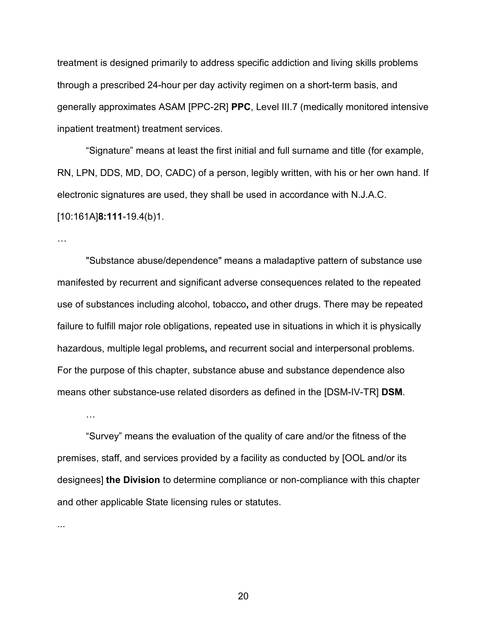treatment is designed primarily to address specific addiction and living skills problems through a prescribed 24-hour per day activity regimen on a short-term basis, and generally approximates ASAM [PPC-2R] **PPC**, Level III.7 (medically monitored intensive inpatient treatment) treatment services.

"Signature" means at least the first initial and full surname and title (for example, RN, LPN, DDS, MD, DO, CADC) of a person, legibly written, with his or her own hand. If electronic signatures are used, they shall be used in accordance with N.J.A.C. [10:161A]**8:111**-19.4(b)1.

…

"Substance abuse/dependence" means a maladaptive pattern of substance use manifested by recurrent and significant adverse consequences related to the repeated use of substances including alcohol, tobacco**,** and other drugs. There may be repeated failure to fulfill major role obligations, repeated use in situations in which it is physically hazardous, multiple legal problems**,** and recurrent social and interpersonal problems. For the purpose of this chapter, substance abuse and substance dependence also means other substance-use related disorders as defined in the [DSM-IV-TR] **DSM**.

…

"Survey" means the evaluation of the quality of care and/or the fitness of the premises, staff, and services provided by a facility as conducted by [OOL and/or its designees] **the Division** to determine compliance or non-compliance with this chapter and other applicable State licensing rules or statutes.

...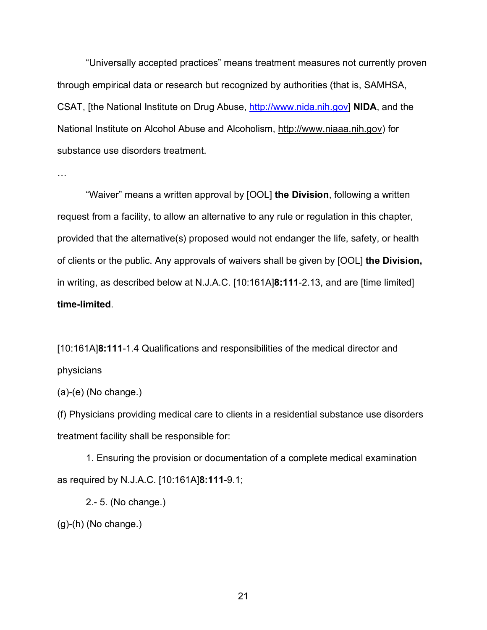"Universally accepted practices" means treatment measures not currently proven through empirical data or research but recognized by authorities (that is, SAMHSA, CSAT, [the National Institute on Drug Abuse, [http://www.nida.nih.gov\]](http://www.nida.nih.gov/) **NIDA**, and the National Institute on Alcohol Abuse and Alcoholism, http://www.niaaa.nih.gov) for substance use disorders treatment.

…

"Waiver" means a written approval by [OOL] **the Division**, following a written request from a facility, to allow an alternative to any rule or regulation in this chapter, provided that the alternative(s) proposed would not endanger the life, safety, or health of clients or the public. Any approvals of waivers shall be given by [OOL] **the Division,** in writing, as described below at N.J.A.C. [10:161A]**8:111**-2.13, and are [time limited] **time-limited**.

[10:161A]**8:111**-1.4 Qualifications and responsibilities of the medical director and physicians

(a)-(e) (No change.)

(f) Physicians providing medical care to clients in a residential substance use disorders treatment facility shall be responsible for:

1. Ensuring the provision or documentation of a complete medical examination as required by N.J.A.C. [10:161A]**8:111**-9.1;

2.- 5. (No change.)

(g)-(h) (No change.)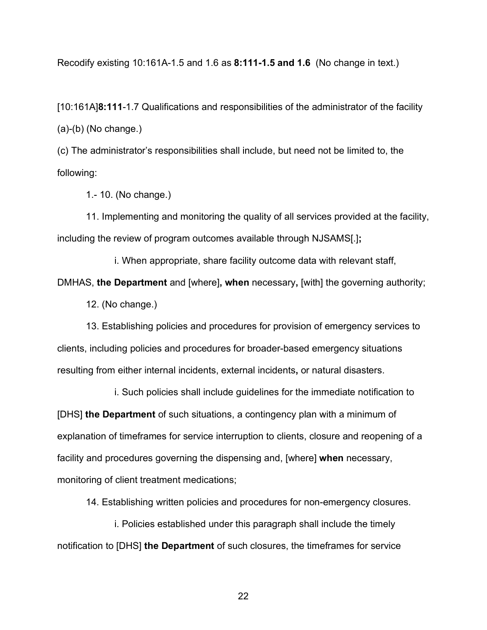Recodify existing 10:161A-1.5 and 1.6 as **8:111-1.5 and 1.6** (No change in text.)

[10:161A]**8:111**-1.7 Qualifications and responsibilities of the administrator of the facility (a)-(b) (No change.)

(c) The administrator's responsibilities shall include, but need not be limited to, the following:

1.- 10. (No change.)

11. Implementing and monitoring the quality of all services provided at the facility, including the review of program outcomes available through NJSAMS[.]**;**

i. When appropriate, share facility outcome data with relevant staff,

DMHAS, **the Department** and [where]**, when** necessary**,** [with] the governing authority;

12. (No change.)

13. Establishing policies and procedures for provision of emergency services to clients, including policies and procedures for broader-based emergency situations resulting from either internal incidents, external incidents**,** or natural disasters.

i. Such policies shall include guidelines for the immediate notification to [DHS] **the Department** of such situations, a contingency plan with a minimum of explanation of timeframes for service interruption to clients, closure and reopening of a facility and procedures governing the dispensing and, [where] **when** necessary, monitoring of client treatment medications;

14. Establishing written policies and procedures for non-emergency closures.

i. Policies established under this paragraph shall include the timely notification to [DHS] **the Department** of such closures, the timeframes for service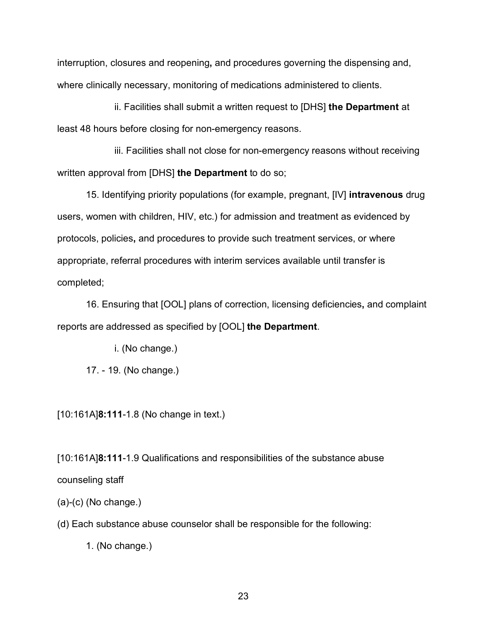interruption, closures and reopening**,** and procedures governing the dispensing and, where clinically necessary, monitoring of medications administered to clients.

ii. Facilities shall submit a written request to [DHS] **the Department** at least 48 hours before closing for non-emergency reasons.

iii. Facilities shall not close for non-emergency reasons without receiving written approval from [DHS] **the Department** to do so;

15. Identifying priority populations (for example, pregnant, [IV] **intravenous** drug users, women with children, HIV, etc.) for admission and treatment as evidenced by protocols, policies**,** and procedures to provide such treatment services, or where appropriate, referral procedures with interim services available until transfer is completed;

16. Ensuring that [OOL] plans of correction, licensing deficiencies**,** and complaint reports are addressed as specified by [OOL] **the Department**.

i. (No change.)

17. - 19. (No change.)

[10:161A]**8:111**-1.8 (No change in text.)

[10:161A]**8:111**-1.9 Qualifications and responsibilities of the substance abuse counseling staff

(a)-(c) (No change.)

(d) Each substance abuse counselor shall be responsible for the following:

1. (No change.)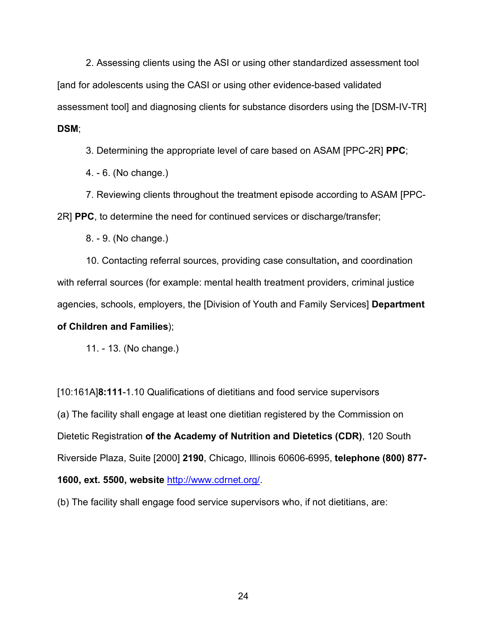2. Assessing clients using the ASI or using other standardized assessment tool [and for adolescents using the CASI or using other evidence-based validated assessment tool] and diagnosing clients for substance disorders using the [DSM-IV-TR] **DSM**;

3. Determining the appropriate level of care based on ASAM [PPC-2R] **PPC**;

4. - 6. (No change.)

7. Reviewing clients throughout the treatment episode according to ASAM [PPC-2R] **PPC**, to determine the need for continued services or discharge/transfer;

8. - 9. (No change.)

10. Contacting referral sources, providing case consultation**,** and coordination with referral sources (for example: mental health treatment providers, criminal justice agencies, schools, employers, the [Division of Youth and Family Services] **Department of Children and Families**);

11. - 13. (No change.)

[10:161A]**8:111**-1.10 Qualifications of dietitians and food service supervisors (a) The facility shall engage at least one dietitian registered by the Commission on Dietetic Registration **of the Academy of Nutrition and Dietetics (CDR)**, 120 South Riverside Plaza, Suite [2000] **2190**, Chicago, Illinois 60606-6995, **telephone (800) 877- 1600, ext. 5500, website** [http://www.cdrnet.org/.](http://www.cdrnet.org/)

(b) The facility shall engage food service supervisors who, if not dietitians, are: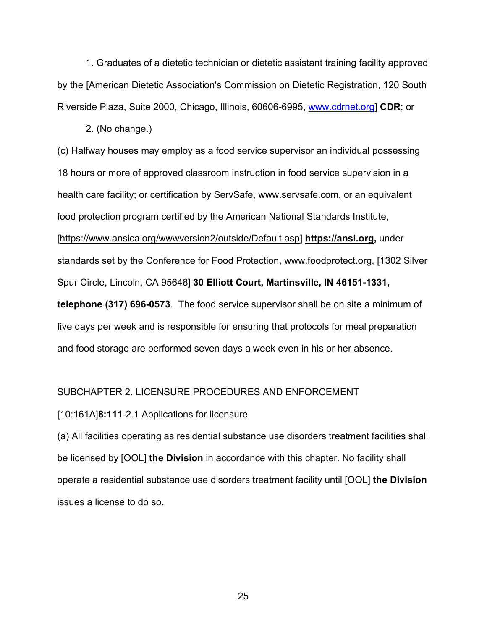1. Graduates of a dietetic technician or dietetic assistant training facility approved by the [American Dietetic Association's Commission on Dietetic Registration, 120 South Riverside Plaza, Suite 2000, Chicago, Illinois, 60606-6995, [www.cdrnet.org\]](http://www.cdrnet.org/) **CDR**; or

2. (No change.)

(c) Halfway houses may employ as a food service supervisor an individual possessing 18 hours or more of approved classroom instruction in food service supervision in a health care facility; or certification by ServSafe, www.servsafe.com, or an equivalent food protection program certified by the American National Standards Institute, [https://www.ansica.org/wwwversion2/outside/Default.asp] **https://ansi.org,** under standards set by the Conference for Food Protection, www.foodprotect.org, [1302 Silver Spur Circle, Lincoln, CA 95648] **30 Elliott Court, Martinsville, IN 46151-1331, telephone (317) 696-0573**. The food service supervisor shall be on site a minimum of five days per week and is responsible for ensuring that protocols for meal preparation

and food storage are performed seven days a week even in his or her absence.

#### SUBCHAPTER 2. LICENSURE PROCEDURES AND ENFORCEMENT

#### [10:161A]**8:111**-2.1 Applications for licensure

(a) All facilities operating as residential substance use disorders treatment facilities shall be licensed by [OOL] **the Division** in accordance with this chapter. No facility shall operate a residential substance use disorders treatment facility until [OOL] **the Division** issues a license to do so.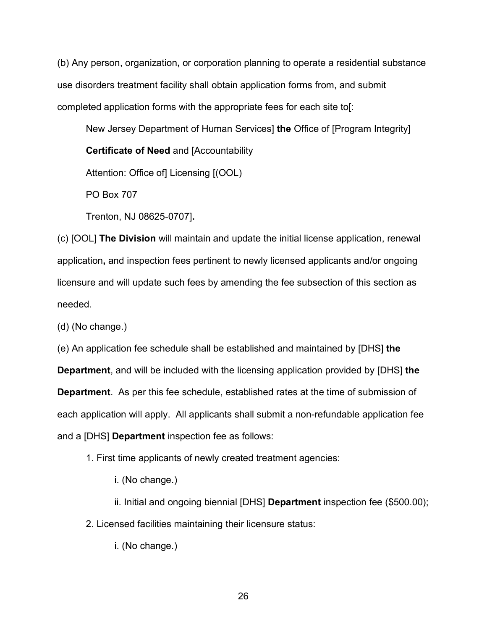(b) Any person, organization**,** or corporation planning to operate a residential substance use disorders treatment facility shall obtain application forms from, and submit completed application forms with the appropriate fees for each site to[:

New Jersey Department of Human Services] **the** Office of [Program Integrity]

**Certificate of Need** and [Accountability

Attention: Office of] Licensing [(OOL)

PO Box 707

Trenton, NJ 08625-0707]**.**

(c) [OOL] **The Division** will maintain and update the initial license application, renewal application**,** and inspection fees pertinent to newly licensed applicants and/or ongoing licensure and will update such fees by amending the fee subsection of this section as needed.

(d) (No change.)

(e) An application fee schedule shall be established and maintained by [DHS] **the** 

**Department**, and will be included with the licensing application provided by [DHS] **the Department**. As per this fee schedule, established rates at the time of submission of each application will apply. All applicants shall submit a non-refundable application fee and a [DHS] **Department** inspection fee as follows:

1. First time applicants of newly created treatment agencies:

i. (No change.)

ii. Initial and ongoing biennial [DHS] **Department** inspection fee (\$500.00);

2. Licensed facilities maintaining their licensure status:

i. (No change.)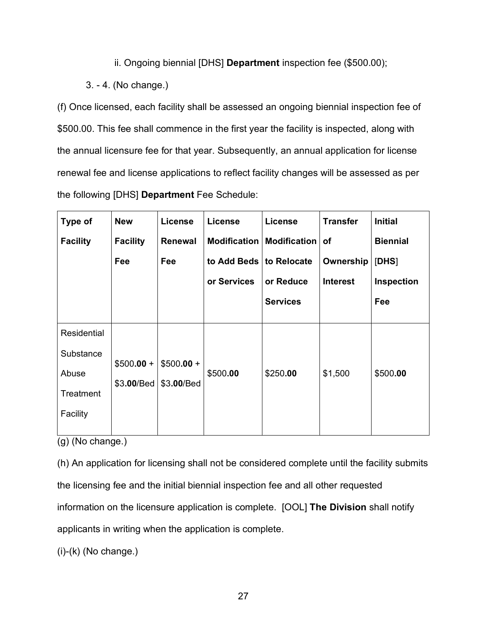## ii. Ongoing biennial [DHS] **Department** inspection fee (\$500.00);

# 3. - 4. (No change.)

(f) Once licensed, each facility shall be assessed an ongoing biennial inspection fee of \$500.00. This fee shall commence in the first year the facility is inspected, along with the annual licensure fee for that year. Subsequently, an annual application for license renewal fee and license applications to reflect facility changes will be assessed as per the following [DHS] **Department** Fee Schedule:

| Type of         | <b>New</b>      | License        | <b>License</b>      | <b>License</b>      | <b>Transfer</b> | <b>Initial</b>  |
|-----------------|-----------------|----------------|---------------------|---------------------|-----------------|-----------------|
| <b>Facility</b> | <b>Facility</b> | <b>Renewal</b> | <b>Modification</b> | <b>Modification</b> | <b>of</b>       | <b>Biennial</b> |
|                 | Fee             | Fee            | to Add Beds         | to Relocate         | Ownership       | [DHS]           |
|                 |                 |                | or Services         | or Reduce           | <b>Interest</b> | Inspection      |
|                 |                 |                |                     | <b>Services</b>     |                 | Fee             |
|                 |                 |                |                     |                     |                 |                 |
| Residential     |                 |                |                     |                     |                 |                 |
| Substance       |                 |                |                     |                     |                 |                 |
|                 | $$500.00 +$     | $$500.00 +$    |                     |                     |                 |                 |
| Abuse           | \$3.00/Bed      | \$3.00/Bed     | \$500.00            | \$250.00            | \$1,500         | \$500.00        |
| Treatment       |                 |                |                     |                     |                 |                 |
| Facility        |                 |                |                     |                     |                 |                 |
|                 |                 |                |                     |                     |                 |                 |

(g) (No change.)

(h) An application for licensing shall not be considered complete until the facility submits the licensing fee and the initial biennial inspection fee and all other requested information on the licensure application is complete. [OOL] **The Division** shall notify applicants in writing when the application is complete.

(i)-(k) (No change.)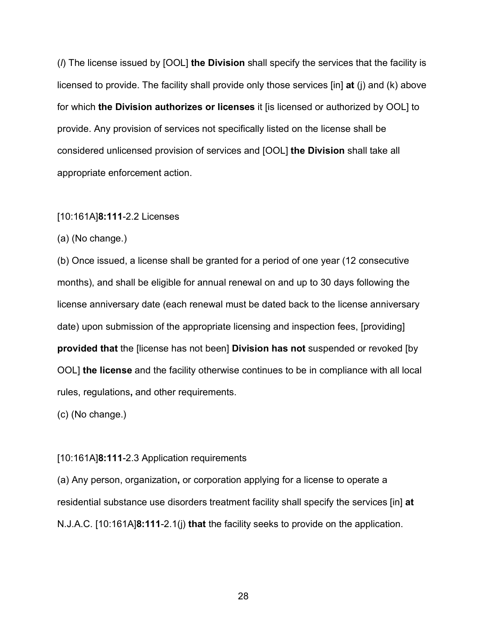(*l*) The license issued by [OOL] **the Division** shall specify the services that the facility is licensed to provide. The facility shall provide only those services [in] **at** (j) and (k) above for which **the Division authorizes or licenses** it [is licensed or authorized by OOL] to provide. Any provision of services not specifically listed on the license shall be considered unlicensed provision of services and [OOL] **the Division** shall take all appropriate enforcement action.

#### [10:161A]**8:111**-2.2 Licenses

(a) (No change.)

(b) Once issued, a license shall be granted for a period of one year (12 consecutive months), and shall be eligible for annual renewal on and up to 30 days following the license anniversary date (each renewal must be dated back to the license anniversary date) upon submission of the appropriate licensing and inspection fees, [providing] **provided that** the [license has not been] **Division has not** suspended or revoked [by OOL] **the license** and the facility otherwise continues to be in compliance with all local rules, regulations**,** and other requirements.

(c) (No change.)

#### [10:161A]**8:111**-2.3 Application requirements

(a) Any person, organization**,** or corporation applying for a license to operate a residential substance use disorders treatment facility shall specify the services [in] **at** N.J.A.C. [10:161A]**8:111**-2.1(j) **that** the facility seeks to provide on the application.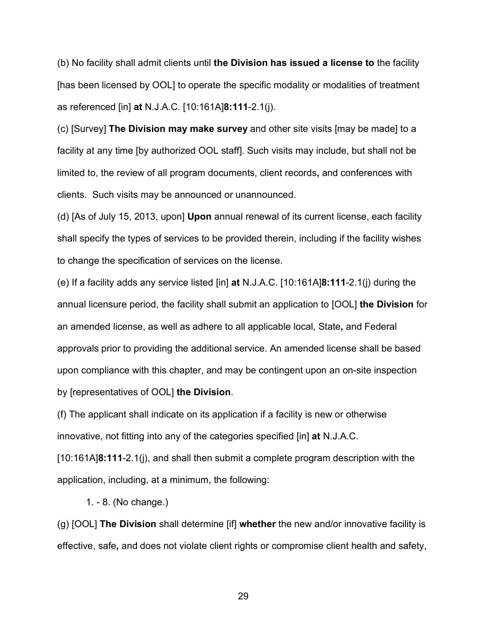(b) No facility shall admit clients until **the Division has issued a license to** the facility [has been licensed by OOL] to operate the specific modality or modalities of treatment as referenced [in] **at** N.J.A.C. [10:161A]**8:111**-2.1(j).

(c) [Survey] **The Division may make survey** and other site visits [may be made] to a facility at any time [by authorized OOL staff]. Such visits may include, but shall not be limited to, the review of all program documents, client records**,** and conferences with clients. Such visits may be announced or unannounced.

(d) [As of July 15, 2013, upon] **Upon** annual renewal of its current license, each facility shall specify the types of services to be provided therein, including if the facility wishes to change the specification of services on the license.

(e) If a facility adds any service listed [in] **at** N.J.A.C. [10:161A]**8:111**-2.1(j) during the annual licensure period, the facility shall submit an application to [OOL] **the Division** for an amended license, as well as adhere to all applicable local, State**,** and Federal approvals prior to providing the additional service. An amended license shall be based upon compliance with this chapter, and may be contingent upon an on-site inspection by [representatives of OOL] **the Division**.

(f) The applicant shall indicate on its application if a facility is new or otherwise innovative, not fitting into any of the categories specified [in] **at** N.J.A.C.

[10:161A]**8:111**-2.1(j), and shall then submit a complete program description with the application, including, at a minimum, the following:

1. - 8. (No change.)

(g) [OOL] **The Division** shall determine [if] **whether** the new and/or innovative facility is effective, safe**,** and does not violate client rights or compromise client health and safety,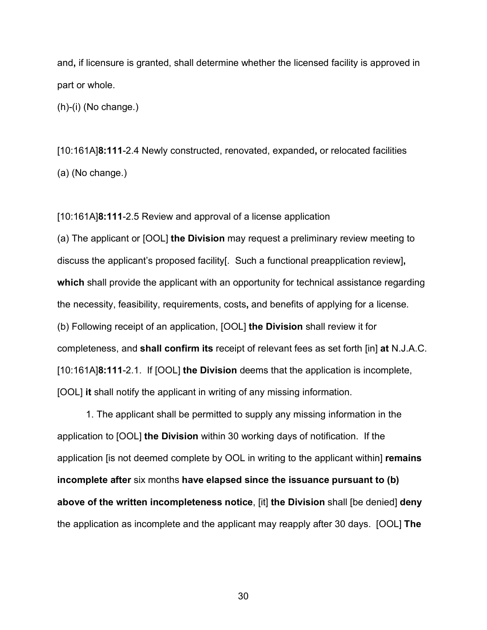and**,** if licensure is granted, shall determine whether the licensed facility is approved in part or whole.

(h)-(i) (No change.)

[10:161A]**8:111**-2.4 Newly constructed, renovated, expanded**,** or relocated facilities (a) (No change.)

[10:161A]**8:111**-2.5 Review and approval of a license application

(a) The applicant or [OOL] **the Division** may request a preliminary review meeting to discuss the applicant's proposed facility[. Such a functional preapplication review]**, which** shall provide the applicant with an opportunity for technical assistance regarding the necessity, feasibility, requirements, costs**,** and benefits of applying for a license. (b) Following receipt of an application, [OOL] **the Division** shall review it for completeness, and **shall confirm its** receipt of relevant fees as set forth [in] **at** N.J.A.C. [10:161A]**8:111**-2.1. If [OOL] **the Division** deems that the application is incomplete, [OOL] **it** shall notify the applicant in writing of any missing information.

1. The applicant shall be permitted to supply any missing information in the application to [OOL] **the Division** within 30 working days of notification. If the application [is not deemed complete by OOL in writing to the applicant within] **remains incomplete after** six months **have elapsed since the issuance pursuant to (b) above of the written incompleteness notice**, [it] **the Division** shall [be denied] **deny** the application as incomplete and the applicant may reapply after 30 days. [OOL] **The**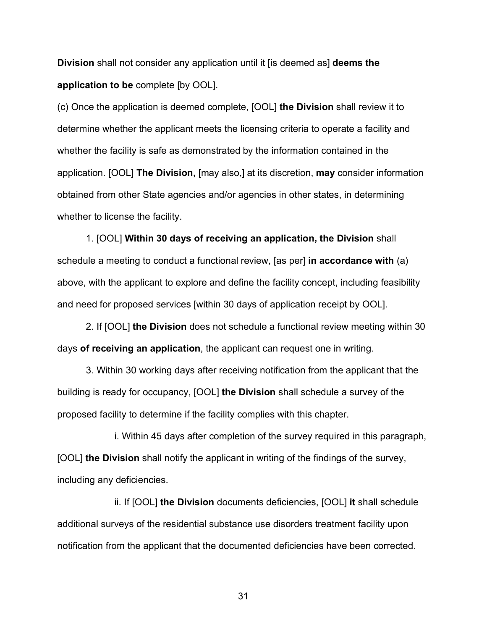**Division** shall not consider any application until it [is deemed as] **deems the application to be** complete [by OOL].

(c) Once the application is deemed complete, [OOL] **the Division** shall review it to determine whether the applicant meets the licensing criteria to operate a facility and whether the facility is safe as demonstrated by the information contained in the application. [OOL] **The Division,** [may also,] at its discretion, **may** consider information obtained from other State agencies and/or agencies in other states, in determining whether to license the facility.

1. [OOL] **Within 30 days of receiving an application, the Division** shall schedule a meeting to conduct a functional review, [as per] **in accordance with** (a) above, with the applicant to explore and define the facility concept, including feasibility and need for proposed services [within 30 days of application receipt by OOL].

2. If [OOL] **the Division** does not schedule a functional review meeting within 30 days **of receiving an application**, the applicant can request one in writing.

3. Within 30 working days after receiving notification from the applicant that the building is ready for occupancy, [OOL] **the Division** shall schedule a survey of the proposed facility to determine if the facility complies with this chapter.

i. Within 45 days after completion of the survey required in this paragraph, [OOL] **the Division** shall notify the applicant in writing of the findings of the survey, including any deficiencies.

ii. If [OOL] **the Division** documents deficiencies, [OOL] **it** shall schedule additional surveys of the residential substance use disorders treatment facility upon notification from the applicant that the documented deficiencies have been corrected.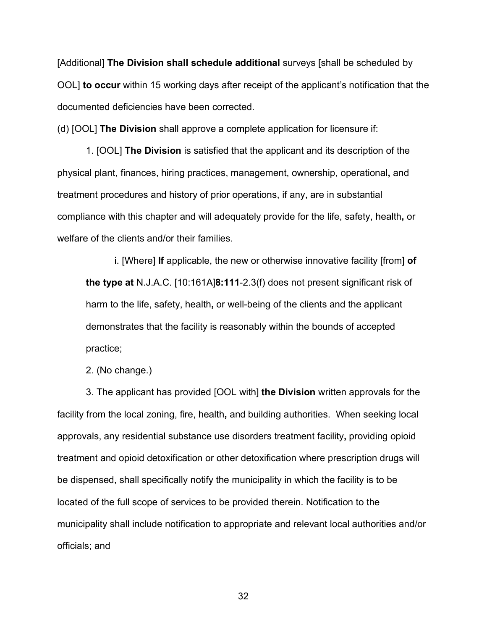[Additional] **The Division shall schedule additional** surveys [shall be scheduled by OOL] **to occur** within 15 working days after receipt of the applicant's notification that the documented deficiencies have been corrected.

(d) [OOL] **The Division** shall approve a complete application for licensure if:

1. [OOL] **The Division** is satisfied that the applicant and its description of the physical plant, finances, hiring practices, management, ownership, operational**,** and treatment procedures and history of prior operations, if any, are in substantial compliance with this chapter and will adequately provide for the life, safety, health**,** or welfare of the clients and/or their families.

i. [Where] **If** applicable, the new or otherwise innovative facility [from] **of the type at** N.J.A.C. [10:161A]**8:111**-2.3(f) does not present significant risk of harm to the life, safety, health**,** or well-being of the clients and the applicant demonstrates that the facility is reasonably within the bounds of accepted practice;

2. (No change.)

3. The applicant has provided [OOL with] **the Division** written approvals for the facility from the local zoning, fire, health**,** and building authorities. When seeking local approvals, any residential substance use disorders treatment facility**,** providing opioid treatment and opioid detoxification or other detoxification where prescription drugs will be dispensed, shall specifically notify the municipality in which the facility is to be located of the full scope of services to be provided therein. Notification to the municipality shall include notification to appropriate and relevant local authorities and/or officials; and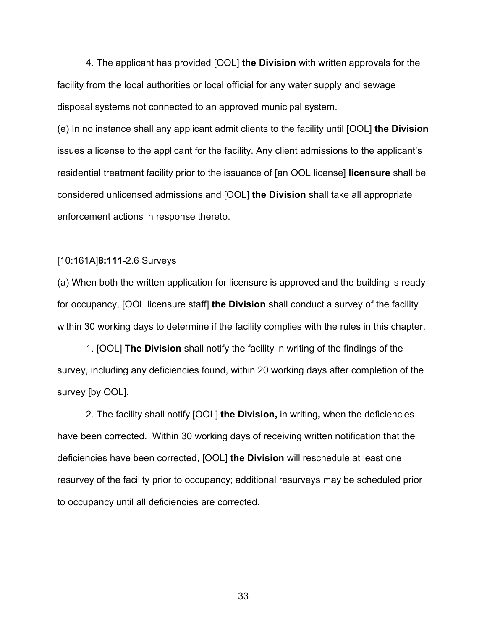4. The applicant has provided [OOL] **the Division** with written approvals for the facility from the local authorities or local official for any water supply and sewage disposal systems not connected to an approved municipal system.

(e) In no instance shall any applicant admit clients to the facility until [OOL] **the Division** issues a license to the applicant for the facility. Any client admissions to the applicant's residential treatment facility prior to the issuance of [an OOL license] **licensure** shall be considered unlicensed admissions and [OOL] **the Division** shall take all appropriate enforcement actions in response thereto.

#### [10:161A]**8:111**-2.6 Surveys

(a) When both the written application for licensure is approved and the building is ready for occupancy, [OOL licensure staff] **the Division** shall conduct a survey of the facility within 30 working days to determine if the facility complies with the rules in this chapter.

1. [OOL] **The Division** shall notify the facility in writing of the findings of the survey, including any deficiencies found, within 20 working days after completion of the survey [by OOL].

2. The facility shall notify [OOL] **the Division,** in writing**,** when the deficiencies have been corrected. Within 30 working days of receiving written notification that the deficiencies have been corrected, [OOL] **the Division** will reschedule at least one resurvey of the facility prior to occupancy; additional resurveys may be scheduled prior to occupancy until all deficiencies are corrected.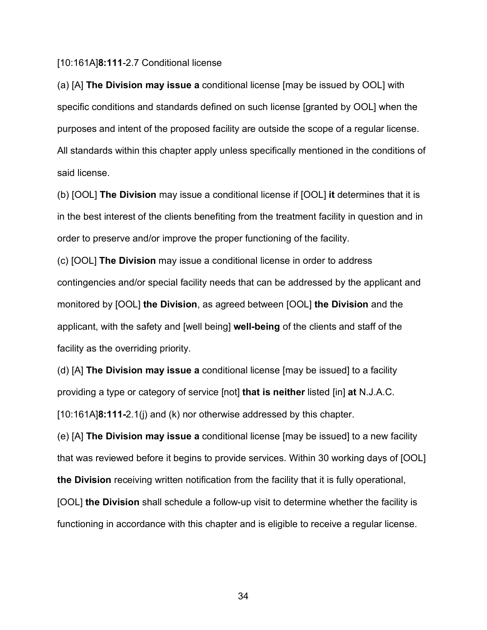#### [10:161A]**8:111**-2.7 Conditional license

(a) [A] **The Division may issue a** conditional license [may be issued by OOL] with specific conditions and standards defined on such license [granted by OOL] when the purposes and intent of the proposed facility are outside the scope of a regular license. All standards within this chapter apply unless specifically mentioned in the conditions of said license.

(b) [OOL] **The Division** may issue a conditional license if [OOL] **it** determines that it is in the best interest of the clients benefiting from the treatment facility in question and in order to preserve and/or improve the proper functioning of the facility.

(c) [OOL] **The Division** may issue a conditional license in order to address contingencies and/or special facility needs that can be addressed by the applicant and monitored by [OOL] **the Division**, as agreed between [OOL] **the Division** and the applicant, with the safety and [well being] **well-being** of the clients and staff of the facility as the overriding priority.

(d) [A] **The Division may issue a** conditional license [may be issued] to a facility providing a type or category of service [not] **that is neither** listed [in] **at** N.J.A.C. [10:161A]**8:111-**2.1(j) and (k) nor otherwise addressed by this chapter.

(e) [A] **The Division may issue a** conditional license [may be issued] to a new facility that was reviewed before it begins to provide services. Within 30 working days of [OOL] **the Division** receiving written notification from the facility that it is fully operational,

[OOL] **the Division** shall schedule a follow-up visit to determine whether the facility is functioning in accordance with this chapter and is eligible to receive a regular license.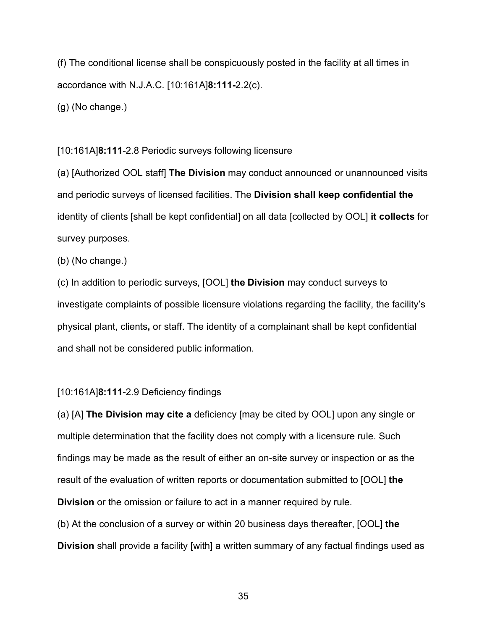(f) The conditional license shall be conspicuously posted in the facility at all times in accordance with N.J.A.C. [10:161A]**8:111-**2.2(c).

(g) (No change.)

#### [10:161A]**8:111**-2.8 Periodic surveys following licensure

(a) [Authorized OOL staff] **The Division** may conduct announced or unannounced visits and periodic surveys of licensed facilities. The **Division shall keep confidential the** identity of clients [shall be kept confidential] on all data [collected by OOL] **it collects** for survey purposes.

(b) (No change.)

(c) In addition to periodic surveys, [OOL] **the Division** may conduct surveys to investigate complaints of possible licensure violations regarding the facility, the facility's physical plant, clients**,** or staff. The identity of a complainant shall be kept confidential and shall not be considered public information.

#### [10:161A]**8:111**-2.9 Deficiency findings

(a) [A] **The Division may cite a** deficiency [may be cited by OOL] upon any single or multiple determination that the facility does not comply with a licensure rule. Such findings may be made as the result of either an on-site survey or inspection or as the result of the evaluation of written reports or documentation submitted to [OOL] **the Division** or the omission or failure to act in a manner required by rule.

(b) At the conclusion of a survey or within 20 business days thereafter, [OOL] **the Division** shall provide a facility [with] a written summary of any factual findings used as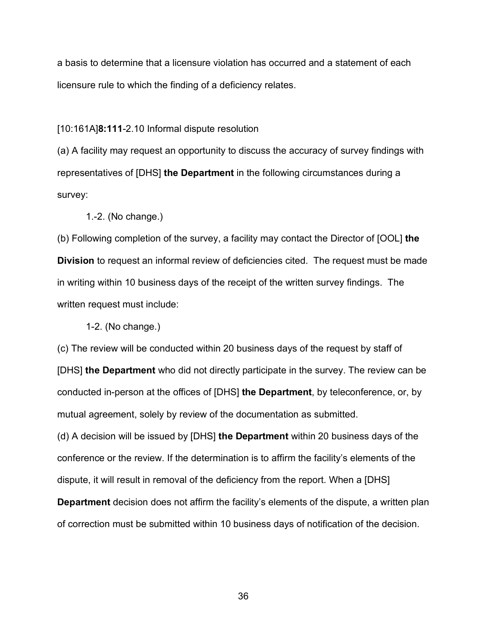a basis to determine that a licensure violation has occurred and a statement of each licensure rule to which the finding of a deficiency relates.

[10:161A]**8:111**-2.10 Informal dispute resolution

(a) A facility may request an opportunity to discuss the accuracy of survey findings with representatives of [DHS] **the Department** in the following circumstances during a survey:

1.-2. (No change.)

(b) Following completion of the survey, a facility may contact the Director of [OOL] **the Division** to request an informal review of deficiencies cited. The request must be made in writing within 10 business days of the receipt of the written survey findings. The written request must include:

1-2. (No change.)

(c) The review will be conducted within 20 business days of the request by staff of [DHS] **the Department** who did not directly participate in the survey. The review can be conducted in-person at the offices of [DHS] **the Department**, by teleconference, or, by mutual agreement, solely by review of the documentation as submitted.

(d) A decision will be issued by [DHS] **the Department** within 20 business days of the conference or the review. If the determination is to affirm the facility's elements of the dispute, it will result in removal of the deficiency from the report. When a [DHS]

**Department** decision does not affirm the facility's elements of the dispute, a written plan of correction must be submitted within 10 business days of notification of the decision.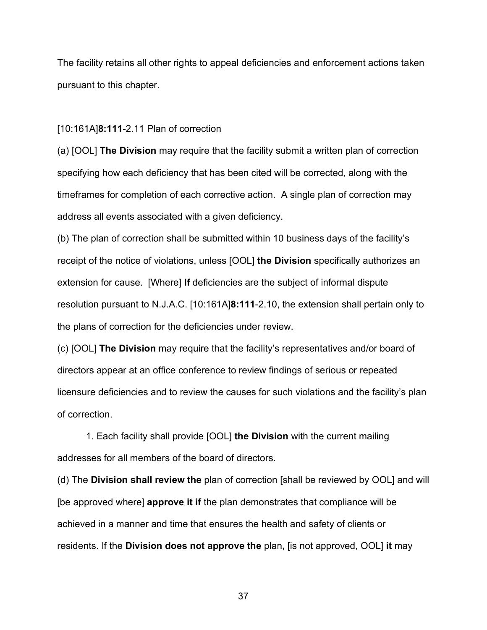The facility retains all other rights to appeal deficiencies and enforcement actions taken pursuant to this chapter.

#### [10:161A]**8:111**-2.11 Plan of correction

(a) [OOL] **The Division** may require that the facility submit a written plan of correction specifying how each deficiency that has been cited will be corrected, along with the timeframes for completion of each corrective action. A single plan of correction may address all events associated with a given deficiency.

(b) The plan of correction shall be submitted within 10 business days of the facility's receipt of the notice of violations, unless [OOL] **the Division** specifically authorizes an extension for cause. [Where] **If** deficiencies are the subject of informal dispute resolution pursuant to N.J.A.C. [10:161A]**8:111**-2.10, the extension shall pertain only to the plans of correction for the deficiencies under review.

(c) [OOL] **The Division** may require that the facility's representatives and/or board of directors appear at an office conference to review findings of serious or repeated licensure deficiencies and to review the causes for such violations and the facility's plan of correction.

1. Each facility shall provide [OOL] **the Division** with the current mailing addresses for all members of the board of directors.

(d) The **Division shall review the** plan of correction [shall be reviewed by OOL] and will [be approved where] **approve it if** the plan demonstrates that compliance will be achieved in a manner and time that ensures the health and safety of clients or residents. If the **Division does not approve the** plan**,** [is not approved, OOL] **it** may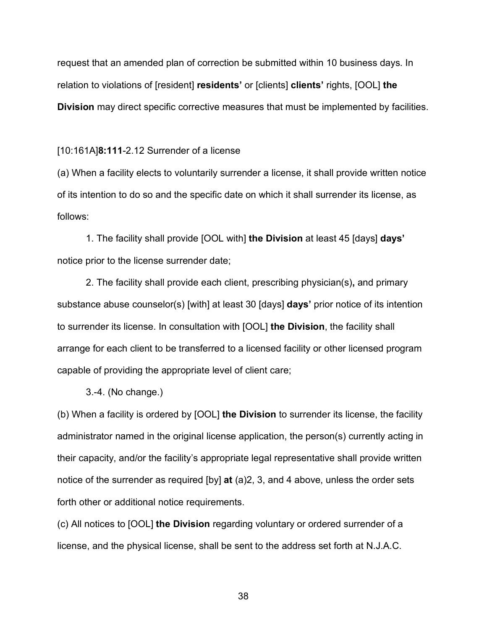request that an amended plan of correction be submitted within 10 business days. In relation to violations of [resident] **residents'** or [clients] **clients'** rights, [OOL] **the Division** may direct specific corrective measures that must be implemented by facilities.

#### [10:161A]**8:111**-2.12 Surrender of a license

(a) When a facility elects to voluntarily surrender a license, it shall provide written notice of its intention to do so and the specific date on which it shall surrender its license, as follows:

1. The facility shall provide [OOL with] **the Division** at least 45 [days] **days'** notice prior to the license surrender date;

2. The facility shall provide each client, prescribing physician(s)**,** and primary substance abuse counselor(s) [with] at least 30 [days] **days'** prior notice of its intention to surrender its license. In consultation with [OOL] **the Division**, the facility shall arrange for each client to be transferred to a licensed facility or other licensed program capable of providing the appropriate level of client care;

3.-4. (No change.)

(b) When a facility is ordered by [OOL] **the Division** to surrender its license, the facility administrator named in the original license application, the person(s) currently acting in their capacity, and/or the facility's appropriate legal representative shall provide written notice of the surrender as required [by] **at** (a)2, 3, and 4 above, unless the order sets forth other or additional notice requirements.

(c) All notices to [OOL] **the Division** regarding voluntary or ordered surrender of a license, and the physical license, shall be sent to the address set forth at N.J.A.C.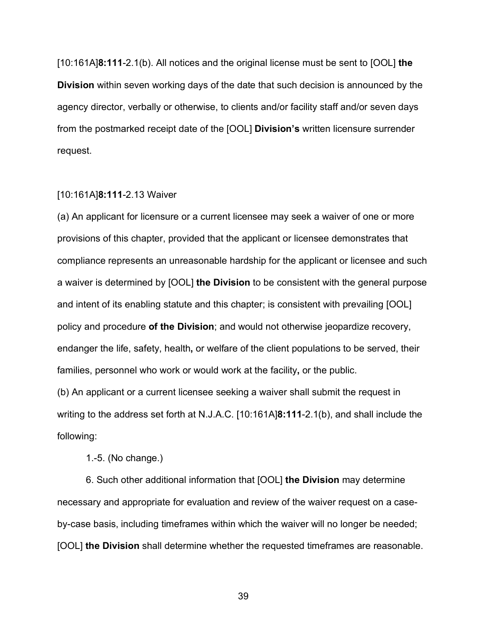[10:161A]**8:111**-2.1(b). All notices and the original license must be sent to [OOL] **the Division** within seven working days of the date that such decision is announced by the agency director, verbally or otherwise, to clients and/or facility staff and/or seven days from the postmarked receipt date of the [OOL] **Division's** written licensure surrender request.

#### [10:161A]**8:111**-2.13 Waiver

(a) An applicant for licensure or a current licensee may seek a waiver of one or more provisions of this chapter, provided that the applicant or licensee demonstrates that compliance represents an unreasonable hardship for the applicant or licensee and such a waiver is determined by [OOL] **the Division** to be consistent with the general purpose and intent of its enabling statute and this chapter; is consistent with prevailing [OOL] policy and procedure **of the Division**; and would not otherwise jeopardize recovery, endanger the life, safety, health**,** or welfare of the client populations to be served, their families, personnel who work or would work at the facility**,** or the public.

(b) An applicant or a current licensee seeking a waiver shall submit the request in writing to the address set forth at N.J.A.C. [10:161A]**8:111**-2.1(b), and shall include the following:

1.-5. (No change.)

6. Such other additional information that [OOL] **the Division** may determine necessary and appropriate for evaluation and review of the waiver request on a caseby-case basis, including timeframes within which the waiver will no longer be needed; [OOL] **the Division** shall determine whether the requested timeframes are reasonable.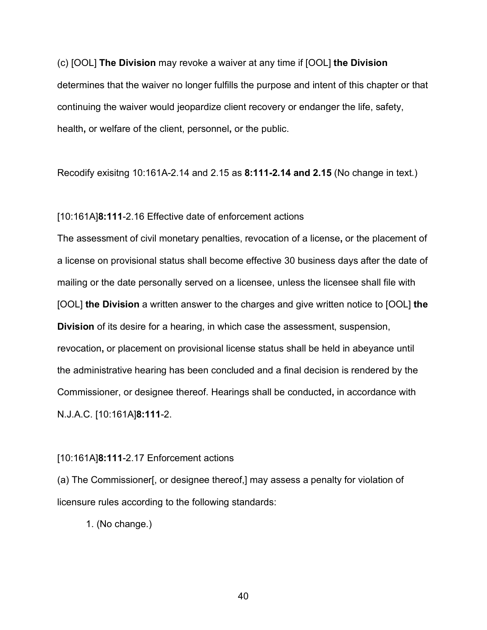(c) [OOL] **The Division** may revoke a waiver at any time if [OOL] **the Division** determines that the waiver no longer fulfills the purpose and intent of this chapter or that continuing the waiver would jeopardize client recovery or endanger the life, safety, health**,** or welfare of the client, personnel**,** or the public.

Recodify exisitng 10:161A-2.14 and 2.15 as **8:111-2.14 and 2.15** (No change in text.)

#### [10:161A]**8:111**-2.16 Effective date of enforcement actions

The assessment of civil monetary penalties, revocation of a license**,** or the placement of a license on provisional status shall become effective 30 business days after the date of mailing or the date personally served on a licensee, unless the licensee shall file with [OOL] **the Division** a written answer to the charges and give written notice to [OOL] **the Division** of its desire for a hearing, in which case the assessment, suspension, revocation**,** or placement on provisional license status shall be held in abeyance until the administrative hearing has been concluded and a final decision is rendered by the Commissioner, or designee thereof. Hearings shall be conducted**,** in accordance with N.J.A.C. [10:161A]**8:111**-2.

#### [10:161A]**8:111**-2.17 Enforcement actions

(a) The Commissioner[, or designee thereof,] may assess a penalty for violation of licensure rules according to the following standards:

1. (No change.)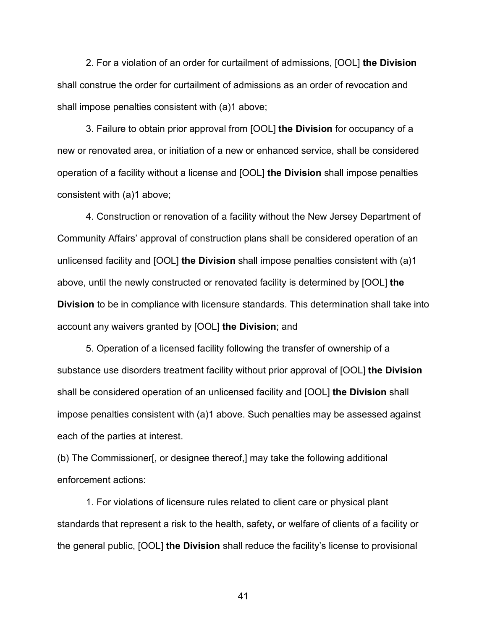2. For a violation of an order for curtailment of admissions, [OOL] **the Division** shall construe the order for curtailment of admissions as an order of revocation and shall impose penalties consistent with (a)1 above;

3. Failure to obtain prior approval from [OOL] **the Division** for occupancy of a new or renovated area, or initiation of a new or enhanced service, shall be considered operation of a facility without a license and [OOL] **the Division** shall impose penalties consistent with (a)1 above;

4. Construction or renovation of a facility without the New Jersey Department of Community Affairs' approval of construction plans shall be considered operation of an unlicensed facility and [OOL] **the Division** shall impose penalties consistent with (a)1 above, until the newly constructed or renovated facility is determined by [OOL] **the Division** to be in compliance with licensure standards. This determination shall take into account any waivers granted by [OOL] **the Division**; and

5. Operation of a licensed facility following the transfer of ownership of a substance use disorders treatment facility without prior approval of [OOL] **the Division** shall be considered operation of an unlicensed facility and [OOL] **the Division** shall impose penalties consistent with (a)1 above. Such penalties may be assessed against each of the parties at interest.

(b) The Commissioner[, or designee thereof,] may take the following additional enforcement actions:

1. For violations of licensure rules related to client care or physical plant standards that represent a risk to the health, safety**,** or welfare of clients of a facility or the general public, [OOL] **the Division** shall reduce the facility's license to provisional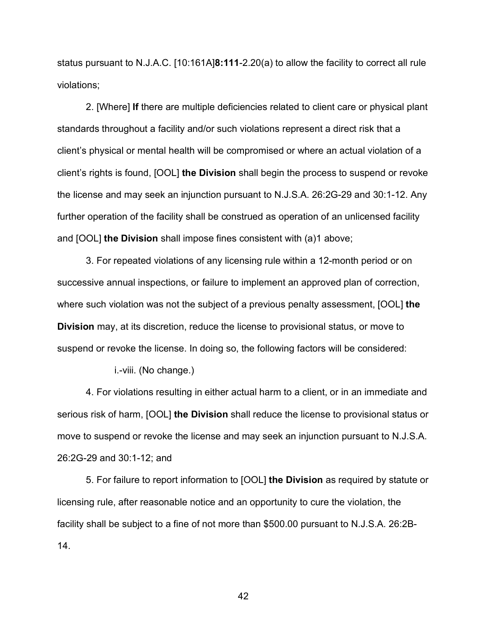status pursuant to N.J.A.C. [10:161A]**8:111**-2.20(a) to allow the facility to correct all rule violations;

2. [Where] **If** there are multiple deficiencies related to client care or physical plant standards throughout a facility and/or such violations represent a direct risk that a client's physical or mental health will be compromised or where an actual violation of a client's rights is found, [OOL] **the Division** shall begin the process to suspend or revoke the license and may seek an injunction pursuant to N.J.S.A. 26:2G-29 and 30:1-12. Any further operation of the facility shall be construed as operation of an unlicensed facility and [OOL] **the Division** shall impose fines consistent with (a)1 above;

3. For repeated violations of any licensing rule within a 12-month period or on successive annual inspections, or failure to implement an approved plan of correction, where such violation was not the subject of a previous penalty assessment, [OOL] **the Division** may, at its discretion, reduce the license to provisional status, or move to suspend or revoke the license. In doing so, the following factors will be considered:

i.-viii. (No change.)

4. For violations resulting in either actual harm to a client, or in an immediate and serious risk of harm, [OOL] **the Division** shall reduce the license to provisional status or move to suspend or revoke the license and may seek an injunction pursuant to [N.J.S.A.](https://advance.lexis.com/document/documentslider/?pdmfid=1000516&crid=26d54ede-3388-40e6-95de-f324309a2fe1&pdistocdocslideraccess=true&config=&pddocfullpath=%2Fshared%2Fdocument%2Fadministrative-codes%2Furn%3AcontentItem%3A5XKV-PWC1-JWR6-S3RS-00009-00&pdcomponentid=237260&pdtocnodeidentifier=AAOAHOAADAAR&ecomp=9s39k&prid=5d311ef6-b9a2-4dfb-a376-64fbb086094b)  [26:2G-29](https://advance.lexis.com/document/documentslider/?pdmfid=1000516&crid=26d54ede-3388-40e6-95de-f324309a2fe1&pdistocdocslideraccess=true&config=&pddocfullpath=%2Fshared%2Fdocument%2Fadministrative-codes%2Furn%3AcontentItem%3A5XKV-PWC1-JWR6-S3RS-00009-00&pdcomponentid=237260&pdtocnodeidentifier=AAOAHOAADAAR&ecomp=9s39k&prid=5d311ef6-b9a2-4dfb-a376-64fbb086094b) and [30:1-12;](https://advance.lexis.com/document/documentslider/?pdmfid=1000516&crid=26d54ede-3388-40e6-95de-f324309a2fe1&pdistocdocslideraccess=true&config=&pddocfullpath=%2Fshared%2Fdocument%2Fadministrative-codes%2Furn%3AcontentItem%3A5XKV-PWC1-JWR6-S3RS-00009-00&pdcomponentid=237260&pdtocnodeidentifier=AAOAHOAADAAR&ecomp=9s39k&prid=5d311ef6-b9a2-4dfb-a376-64fbb086094b) and

5. For failure to report information to [OOL] **the Division** as required by statute or licensing rule, after reasonable notice and an opportunity to cure the violation, the facility shall be subject to a fine of not more than \$500.00 pursuant to N.J.S.A. 26:2B-14.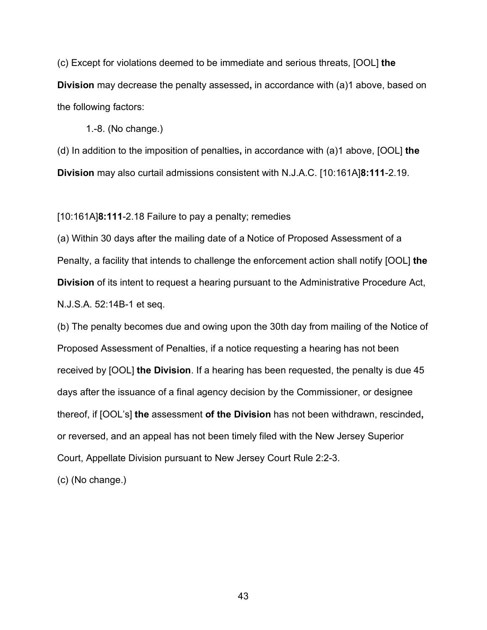(c) Except for violations deemed to be immediate and serious threats, [OOL] **the Division** may decrease the penalty assessed**,** in accordance with (a)1 above, based on the following factors:

1.-8. (No change.)

(d) In addition to the imposition of penalties**,** in accordance with (a)1 above, [OOL] **the Division** may also curtail admissions consistent with N.J.A.C. [10:161A]**8:111**-2.19.

[10:161A]**8:111**-2.18 Failure to pay a penalty; remedies

(a) Within 30 days after the mailing date of a Notice of Proposed Assessment of a Penalty, a facility that intends to challenge the enforcement action shall notify [OOL] **the Division** of its intent to request a hearing pursuant to the Administrative Procedure Act, N.J.S.A. 52:14B-1 et seq.

(b) The penalty becomes due and owing upon the 30th day from mailing of the Notice of Proposed Assessment of Penalties, if a notice requesting a hearing has not been received by [OOL] **the Division**. If a hearing has been requested, the penalty is due 45 days after the issuance of a final agency decision by the Commissioner, or designee thereof, if [OOL's] **the** assessment **of the Division** has not been withdrawn, rescinded**,** or reversed, and an appeal has not been timely filed with the New Jersey Superior Court, Appellate Division pursuant to New Jersey Court Rule 2:2-3.

(c) (No change.)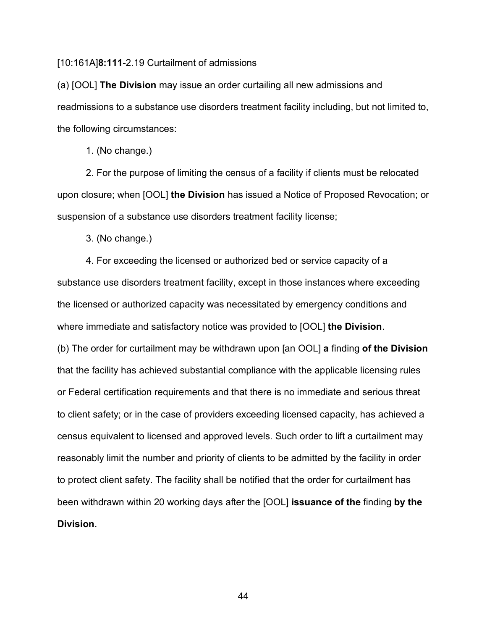[10:161A]**8:111**-2.19 Curtailment of admissions

(a) [OOL] **The Division** may issue an order curtailing all new admissions and readmissions to a substance use disorders treatment facility including, but not limited to, the following circumstances:

1. (No change.)

2. For the purpose of limiting the census of a facility if clients must be relocated upon closure; when [OOL] **the Division** has issued a Notice of Proposed Revocation; or suspension of a substance use disorders treatment facility license;

3. (No change.)

4. For exceeding the licensed or authorized bed or service capacity of a substance use disorders treatment facility, except in those instances where exceeding the licensed or authorized capacity was necessitated by emergency conditions and where immediate and satisfactory notice was provided to [OOL] **the Division**. (b) The order for curtailment may be withdrawn upon [an OOL] **a** finding **of the Division** that the facility has achieved substantial compliance with the applicable licensing rules or Federal certification requirements and that there is no immediate and serious threat to client safety; or in the case of providers exceeding licensed capacity, has achieved a census equivalent to licensed and approved levels. Such order to lift a curtailment may reasonably limit the number and priority of clients to be admitted by the facility in order to protect client safety. The facility shall be notified that the order for curtailment has been withdrawn within 20 working days after the [OOL] **issuance of the** finding **by the Division**.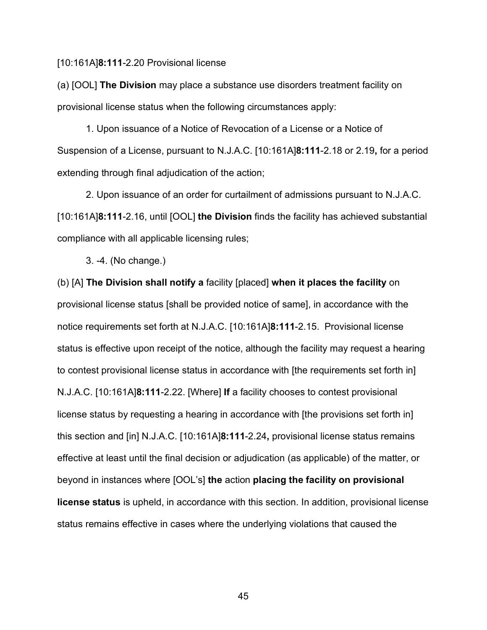#### [10:161A]**8:111**-2.20 Provisional license

(a) [OOL] **The Division** may place a substance use disorders treatment facility on provisional license status when the following circumstances apply:

1. Upon issuance of a Notice of Revocation of a License or a Notice of Suspension of a License, pursuant to N.J.A.C. [10:161A]**8:111**-2.18 or 2.19**,** for a period extending through final adjudication of the action;

2. Upon issuance of an order for curtailment of admissions pursuant to N.J.A.C. [10:161A]**8:111**-2.16, until [OOL] **the Division** finds the facility has achieved substantial compliance with all applicable licensing rules;

3. -4. (No change.)

(b) [A] **The Division shall notify a** facility [placed] **when it places the facility** on provisional license status [shall be provided notice of same], in accordance with the notice requirements set forth at N.J.A.C. [10:161A]**8:111**-2.15. Provisional license status is effective upon receipt of the notice, although the facility may request a hearing to contest provisional license status in accordance with [the requirements set forth in] N.J.A.C. [10:161A]**8:111**-2.22. [Where] **If** a facility chooses to contest provisional license status by requesting a hearing in accordance with [the provisions set forth in] this section and [in] N.J.A.C. [10:161A]**8:111**-2.24**,** provisional license status remains effective at least until the final decision or adjudication (as applicable) of the matter, or beyond in instances where [OOL's] **the** action **placing the facility on provisional license status** is upheld, in accordance with this section. In addition, provisional license status remains effective in cases where the underlying violations that caused the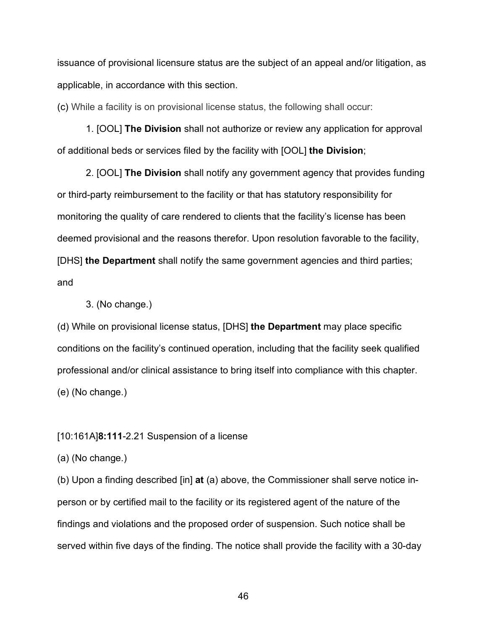issuance of provisional licensure status are the subject of an appeal and/or litigation, as applicable, in accordance with this section.

(c) While a facility is on provisional license status, the following shall occur:

1. [OOL] **The Division** shall not authorize or review any application for approval of additional beds or services filed by the facility with [OOL] **the Division**;

2. [OOL] **The Division** shall notify any government agency that provides funding or third-party reimbursement to the facility or that has statutory responsibility for monitoring the quality of care rendered to clients that the facility's license has been deemed provisional and the reasons therefor. Upon resolution favorable to the facility, [DHS] **the Department** shall notify the same government agencies and third parties; and

3. (No change.)

(d) While on provisional license status, [DHS] **the Department** may place specific conditions on the facility's continued operation, including that the facility seek qualified professional and/or clinical assistance to bring itself into compliance with this chapter. (e) (No change.)

#### [10:161A]**8:111**-2.21 Suspension of a license

(a) (No change.)

(b) Upon a finding described [in] **at** (a) above, the Commissioner shall serve notice inperson or by certified mail to the facility or its registered agent of the nature of the findings and violations and the proposed order of suspension. Such notice shall be served within five days of the finding. The notice shall provide the facility with a 30-day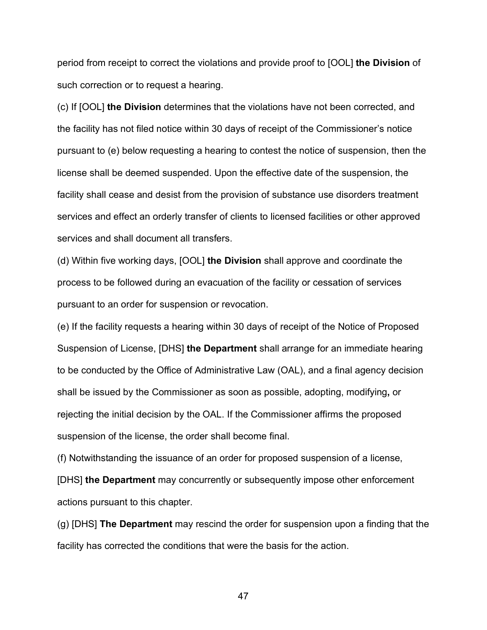period from receipt to correct the violations and provide proof to [OOL] **the Division** of such correction or to request a hearing.

(c) If [OOL] **the Division** determines that the violations have not been corrected, and the facility has not filed notice within 30 days of receipt of the Commissioner's notice pursuant to (e) below requesting a hearing to contest the notice of suspension, then the license shall be deemed suspended. Upon the effective date of the suspension, the facility shall cease and desist from the provision of substance use disorders treatment services and effect an orderly transfer of clients to licensed facilities or other approved services and shall document all transfers.

(d) Within five working days, [OOL] **the Division** shall approve and coordinate the process to be followed during an evacuation of the facility or cessation of services pursuant to an order for suspension or revocation.

(e) If the facility requests a hearing within 30 days of receipt of the Notice of Proposed Suspension of License, [DHS] **the Department** shall arrange for an immediate hearing to be conducted by the Office of Administrative Law (OAL), and a final agency decision shall be issued by the Commissioner as soon as possible, adopting, modifying**,** or rejecting the initial decision by the OAL. If the Commissioner affirms the proposed suspension of the license, the order shall become final.

(f) Notwithstanding the issuance of an order for proposed suspension of a license,

[DHS] **the Department** may concurrently or subsequently impose other enforcement actions pursuant to this chapter.

(g) [DHS] **The Department** may rescind the order for suspension upon a finding that the facility has corrected the conditions that were the basis for the action.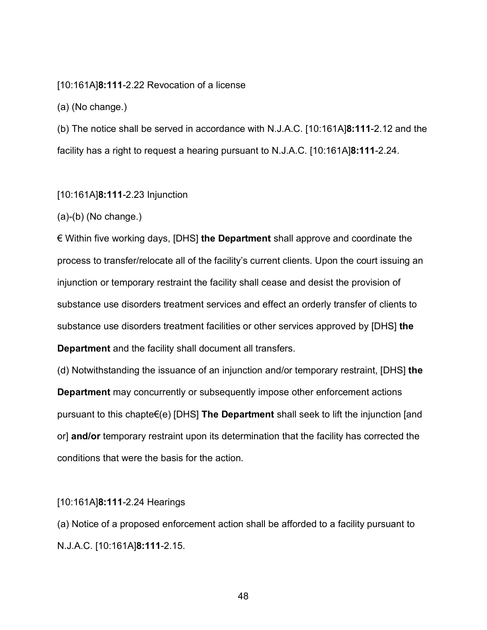#### [10:161A]**8:111**-2.22 Revocation of a license

(a) (No change.)

(b) The notice shall be served in accordance with N.J.A.C. [10:161A]**8:111**-2.12 and the facility has a right to request a hearing pursuant to N.J.A.C. [10:161A]**8:111**-2.24.

#### [10:161A]**8:111**-2.23 Injunction

(a)-(b) (No change.)

€ Within five working days, [DHS] **the Department** shall approve and coordinate the process to transfer/relocate all of the facility's current clients. Upon the court issuing an injunction or temporary restraint the facility shall cease and desist the provision of substance use disorders treatment services and effect an orderly transfer of clients to substance use disorders treatment facilities or other services approved by [DHS] **the Department** and the facility shall document all transfers.

(d) Notwithstanding the issuance of an injunction and/or temporary restraint, [DHS] **the Department** may concurrently or subsequently impose other enforcement actions pursuant to this chapte€(e) [DHS] **The Department** shall seek to lift the injunction [and or] **and/or** temporary restraint upon its determination that the facility has corrected the conditions that were the basis for the action.

#### [10:161A]**8:111**-2.24 Hearings

(a) Notice of a proposed enforcement action shall be afforded to a facility pursuant to N.J.A.C. [10:161A]**8:111**-2.15.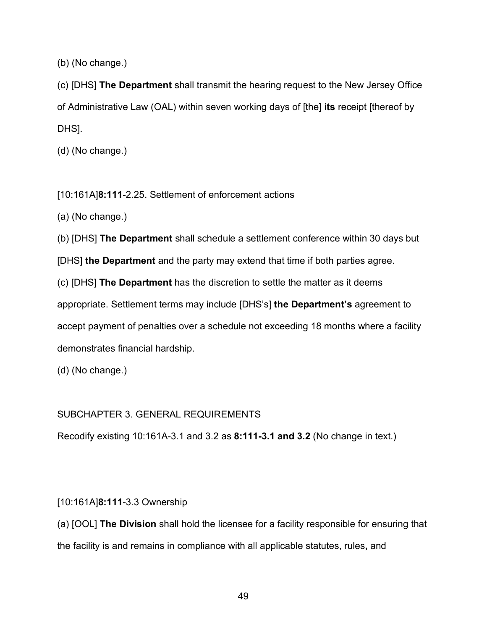(b) (No change.)

(c) [DHS] **The Department** shall transmit the hearing request to the New Jersey Office of Administrative Law (OAL) within seven working days of [the] **its** receipt [thereof by DHS].

(d) (No change.)

[10:161A]**8:111**-2.25. Settlement of enforcement actions

(a) (No change.)

(b) [DHS] **The Department** shall schedule a settlement conference within 30 days but

[DHS] **the Department** and the party may extend that time if both parties agree.

(c) [DHS] **The Department** has the discretion to settle the matter as it deems appropriate. Settlement terms may include [DHS's] **the Department's** agreement to accept payment of penalties over a schedule not exceeding 18 months where a facility demonstrates financial hardship.

(d) (No change.)

# SUBCHAPTER 3. GENERAL REQUIREMENTS

Recodify existing 10:161A-3.1 and 3.2 as **8:111-3.1 and 3.2** (No change in text.)

# [10:161A]**8:111**-3.3 Ownership

(a) [OOL] **The Division** shall hold the licensee for a facility responsible for ensuring that the facility is and remains in compliance with all applicable statutes, rules**,** and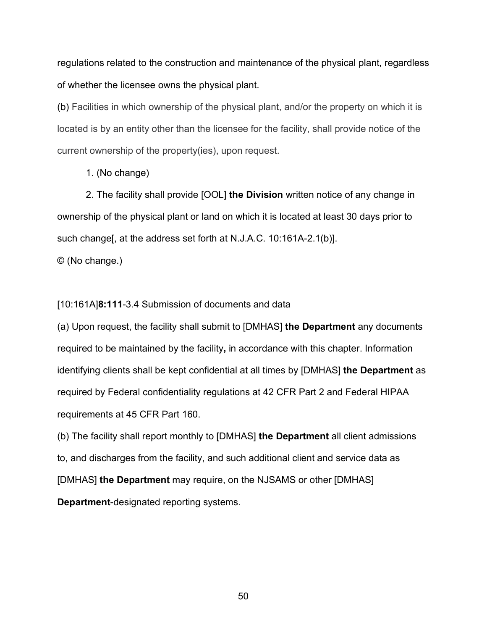regulations related to the construction and maintenance of the physical plant, regardless of whether the licensee owns the physical plant.

(b) Facilities in which ownership of the physical plant, and/or the property on which it is located is by an entity other than the licensee for the facility, shall provide notice of the current ownership of the property(ies), upon request.

1. (No change)

2. The facility shall provide [OOL] **the Division** written notice of any change in ownership of the physical plant or land on which it is located at least 30 days prior to such change[, at the address set forth at N.J.A.C. 10:161A-2.1(b)].

© (No change.)

### [10:161A]**8:111**-3.4 Submission of documents and data

(a) Upon request, the facility shall submit to [DMHAS] **the Department** any documents required to be maintained by the facility**,** in accordance with this chapter. Information identifying clients shall be kept confidential at all times by [DMHAS] **the Department** as required by Federal confidentiality regulations at 42 CFR Part 2 and Federal HIPAA requirements at 45 CFR Part 160.

(b) The facility shall report monthly to [DMHAS] **the Department** all client admissions to, and discharges from the facility, and such additional client and service data as [DMHAS] **the Department** may require, on the NJSAMS or other [DMHAS] **Department**-designated reporting systems.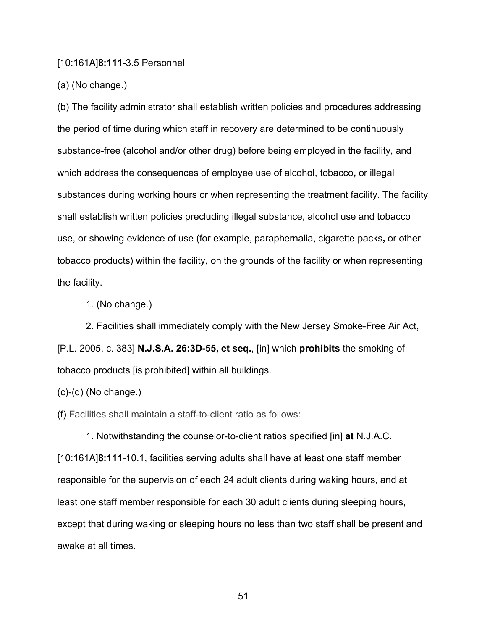#### [10:161A]**8:111**-3.5 Personnel

(a) (No change.)

(b) The facility administrator shall establish written policies and procedures addressing the period of time during which staff in recovery are determined to be continuously substance-free (alcohol and/or other drug) before being employed in the facility, and which address the consequences of employee use of alcohol, tobacco**,** or illegal substances during working hours or when representing the treatment facility. The facility shall establish written policies precluding illegal substance, alcohol use and tobacco use, or showing evidence of use (for example, paraphernalia, cigarette packs**,** or other tobacco products) within the facility, on the grounds of the facility or when representing the facility.

1. (No change.)

2. Facilities shall immediately comply with the New Jersey Smoke-Free Air Act, [P.L. 2005, c. 383] **N.J.S.A. 26:3D-55, et seq.**, [in] which **prohibits** the smoking of tobacco products [is prohibited] within all buildings.

 $(c)-(d)$  (No change.)

(f) Facilities shall maintain a staff-to-client ratio as follows:

1. Notwithstanding the counselor-to-client ratios specified [in] **at** N.J.A.C. [10:161A]**8:111**-10.1, facilities serving adults shall have at least one staff member responsible for the supervision of each 24 adult clients during waking hours, and at least one staff member responsible for each 30 adult clients during sleeping hours, except that during waking or sleeping hours no less than two staff shall be present and awake at all times.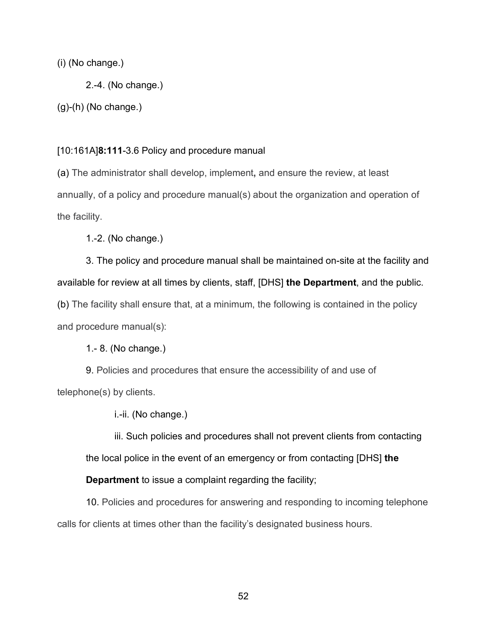# (i) (No change.)

2.-4. (No change.)

(g)-(h) (No change.)

## [10:161A]**8:111**-3.6 Policy and procedure manual

(a) The administrator shall develop, implement**,** and ensure the review, at least annually, of a policy and procedure manual(s) about the organization and operation of the facility.

1.-2. (No change.)

3. The policy and procedure manual shall be maintained on-site at the facility and available for review at all times by clients, staff, [DHS] **the Department**, and the public. (b) The facility shall ensure that, at a minimum, the following is contained in the policy and procedure manual(s):

1.- 8. (No change.)

9. Policies and procedures that ensure the accessibility of and use of telephone(s) by clients.

i.-ii. (No change.)

iii. Such policies and procedures shall not prevent clients from contacting the local police in the event of an emergency or from contacting [DHS] **the** 

**Department** to issue a complaint regarding the facility;

10. Policies and procedures for answering and responding to incoming telephone calls for clients at times other than the facility's designated business hours.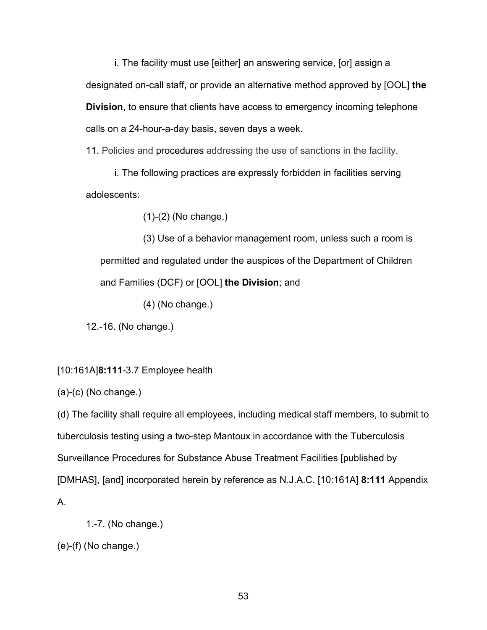i. The facility must use [either] an answering service, [or] assign a designated on-call staff**,** or provide an alternative method approved by [OOL] **the Division**, to ensure that clients have access to emergency incoming telephone calls on a 24-hour-a-day basis, seven days a week.

11. Policies and procedures addressing the use of sanctions in the facility.

i. The following practices are expressly forbidden in facilities serving adolescents:

(1)-(2) (No change.)

(3) Use of a behavior management room, unless such a room is permitted and regulated under the auspices of the Department of Children and Families (DCF) or [OOL] **the Division**; and

(4) (No change.)

12.-16. (No change.)

# [10:161A]**8:111**-3.7 Employee health

(a)-(c) (No change.)

(d) The facility shall require all employees, including medical staff members, to submit to tuberculosis testing using a two-step Mantoux in accordance with the Tuberculosis Surveillance Procedures for Substance Abuse Treatment Facilities [published by [DMHAS], [and] incorporated herein by reference as N.J.A.C. [10:161A] **8:111** Appendix A.

```
1.-7. (No change.)
```

```
(e)-(f) (No change.)
```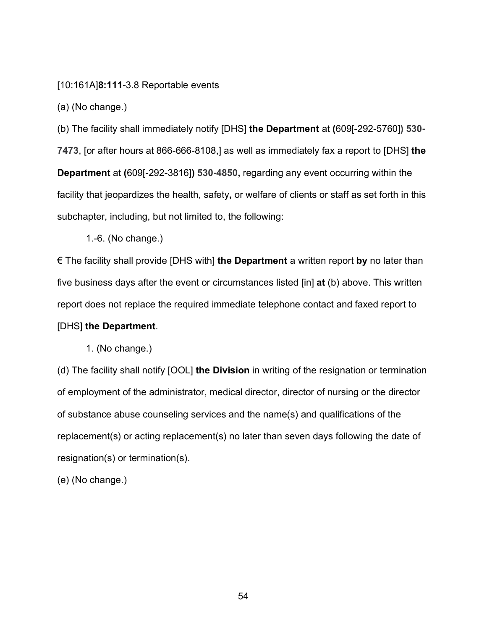[10:161A]**8:111**-3.8 Reportable events

(a) (No change.)

(b) The facility shall immediately notify [DHS] **the Department** at **(**609[-292-5760]**) 530- 7473**, [or after hours at 866-666-8108,] as well as immediately fax a report to [DHS] **the Department** at **(**609[-292-3816]**) 530-4850,** regarding any event occurring within the facility that jeopardizes the health, safety**,** or welfare of clients or staff as set forth in this subchapter, including, but not limited to, the following:

1.-6. (No change.)

€ The facility shall provide [DHS with] **the Department** a written report **by** no later than five business days after the event or circumstances listed [in] **at** (b) above. This written report does not replace the required immediate telephone contact and faxed report to

# [DHS] **the Department**.

1. (No change.)

(d) The facility shall notify [OOL] **the Division** in writing of the resignation or termination of employment of the administrator, medical director, director of nursing or the director of substance abuse counseling services and the name(s) and qualifications of the replacement(s) or acting replacement(s) no later than seven days following the date of resignation(s) or termination(s).

(e) (No change.)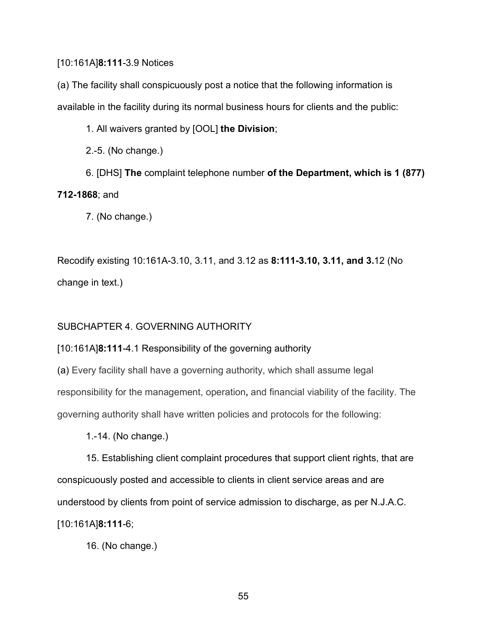# [10:161A]**8:111**-3.9 Notices

(a) The facility shall conspicuously post a notice that the following information is available in the facility during its normal business hours for clients and the public:

1. All waivers granted by [OOL] **the Division**;

2.-5. (No change.)

6. [DHS] **The** complaint telephone number **of the Department, which is 1 (877) 712-1868**; and

7. (No change.)

Recodify existing 10:161A-3.10, 3.11, and 3.12 as **8:111-3.10, 3.11, and 3.**12 (No change in text.)

# SUBCHAPTER 4. GOVERNING AUTHORITY

# [10:161A]**8:111**-4.1 Responsibility of the governing authority

(a) Every facility shall have a governing authority, which shall assume legal responsibility for the management, operation**,** and financial viability of the facility. The governing authority shall have written policies and protocols for the following:

1.-14. (No change.)

15. Establishing client complaint procedures that support client rights, that are conspicuously posted and accessible to clients in client service areas and are understood by clients from point of service admission to discharge, as per N.J.A.C. [10:161A]**8:111**-6;

16. (No change.)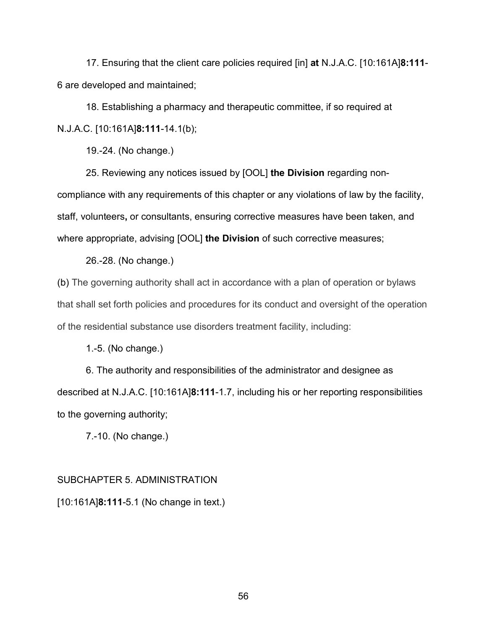17. Ensuring that the client care policies required [in] **at** N.J.A.C. [10:161A]**8:111**- 6 are developed and maintained;

18. Establishing a pharmacy and therapeutic committee, if so required at N.J.A.C. [10:161A]**8:111**-14.1(b);

19.-24. (No change.)

25. Reviewing any notices issued by [OOL] **the Division** regarding non-

compliance with any requirements of this chapter or any violations of law by the facility, staff, volunteers**,** or consultants, ensuring corrective measures have been taken, and where appropriate, advising [OOL] **the Division** of such corrective measures;

26.-28. (No change.)

(b) The governing authority shall act in accordance with a plan of operation or bylaws that shall set forth policies and procedures for its conduct and oversight of the operation of the residential substance use disorders treatment facility, including:

1.-5. (No change.)

6. The authority and responsibilities of the administrator and designee as described at N.J.A.C. [10:161A]**8:111**-1.7, including his or her reporting responsibilities to the governing authority;

7.-10. (No change.)

# SUBCHAPTER 5. ADMINISTRATION

[10:161A]**8:111**-5.1 (No change in text.)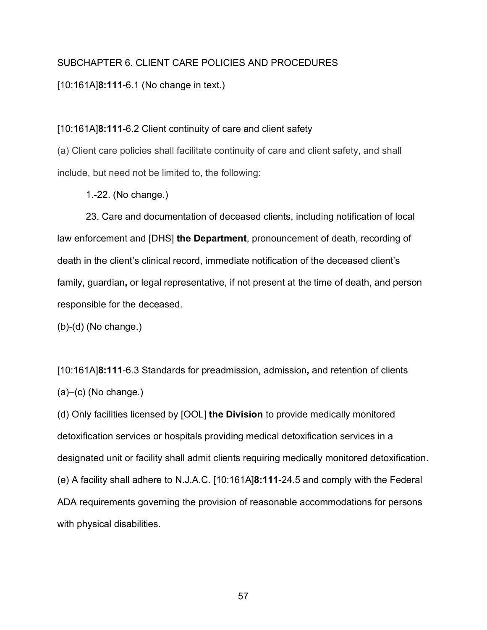# SUBCHAPTER 6. CLIENT CARE POLICIES AND PROCEDURES

## [10:161A]**8:111**-6.1 (No change in text.)

#### [10:161A]**8:111**-6.2 Client continuity of care and client safety

(a) Client care policies shall facilitate continuity of care and client safety, and shall include, but need not be limited to, the following:

1.-22. (No change.)

23. Care and documentation of deceased clients, including notification of local law enforcement and [DHS] **the Department**, pronouncement of death, recording of death in the client's clinical record, immediate notification of the deceased client's family, guardian**,** or legal representative, if not present at the time of death, and person responsible for the deceased.

(b)-(d) (No change.)

[10:161A]**8:111**-6.3 Standards for preadmission, admission**,** and retention of clients  $(a)$ – $(c)$  (No change.)

(d) Only facilities licensed by [OOL] **the Division** to provide medically monitored detoxification services or hospitals providing medical detoxification services in a designated unit or facility shall admit clients requiring medically monitored detoxification. (e) A facility shall adhere to N.J.A.C. [10:161A]**8:111**-24.5 and comply with the Federal ADA requirements governing the provision of reasonable accommodations for persons with physical disabilities.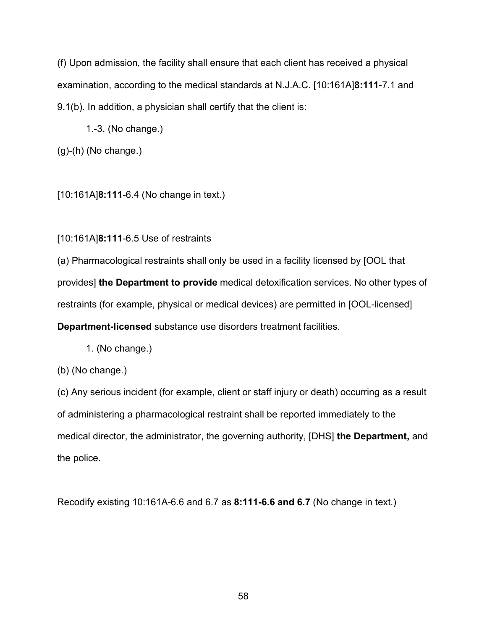(f) Upon admission, the facility shall ensure that each client has received a physical examination, according to the medical standards at N.J.A.C. [10:161A]**8:111**-7.1 and 9.1(b). In addition, a physician shall certify that the client is:

1.-3. (No change.)

 $(g)-(h)$  (No change.)

[10:161A]**8:111**-6.4 (No change in text.)

[10:161A]**8:111**-6.5 Use of restraints

(a) Pharmacological restraints shall only be used in a facility licensed by [OOL that provides] **the Department to provide** medical detoxification services. No other types of restraints (for example, physical or medical devices) are permitted in [OOL-licensed] **Department-licensed** substance use disorders treatment facilities.

1. (No change.)

(b) (No change.)

(c) Any serious incident (for example, client or staff injury or death) occurring as a result of administering a pharmacological restraint shall be reported immediately to the medical director, the administrator, the governing authority, [DHS] **the Department,** and the police.

Recodify existing 10:161A-6.6 and 6.7 as **8:111-6.6 and 6.7** (No change in text.)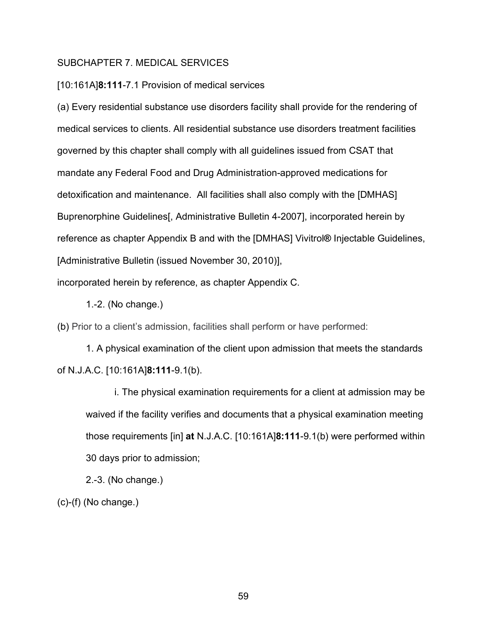#### SUBCHAPTER 7. MEDICAL SERVICES

[10:161A]**8:111**-7.1 Provision of medical services

(a) Every residential substance use disorders facility shall provide for the rendering of medical services to clients. All residential substance use disorders treatment facilities governed by this chapter shall comply with all guidelines issued from CSAT that mandate any Federal Food and Drug Administration-approved medications for detoxification and maintenance. All facilities shall also comply with the [DMHAS] Buprenorphine Guidelines[, Administrative Bulletin 4-2007], incorporated herein by reference as chapter Appendix B and with the [DMHAS] Vivitrol**®** Injectable Guidelines, [Administrative Bulletin (issued November 30, 2010)],

incorporated herein by reference, as chapter Appendix C.

1.-2. (No change.)

(b) Prior to a client's admission, facilities shall perform or have performed:

1. A physical examination of the client upon admission that meets the standards of N.J.A.C. [10:161A]**8:111**-9.1(b).

i. The physical examination requirements for a client at admission may be waived if the facility verifies and documents that a physical examination meeting those requirements [in] **at** N.J.A.C. [10:161A]**8:111**-9.1(b) were performed within 30 days prior to admission;

2.-3. (No change.)

 $(c)$ - $(f)$  (No change.)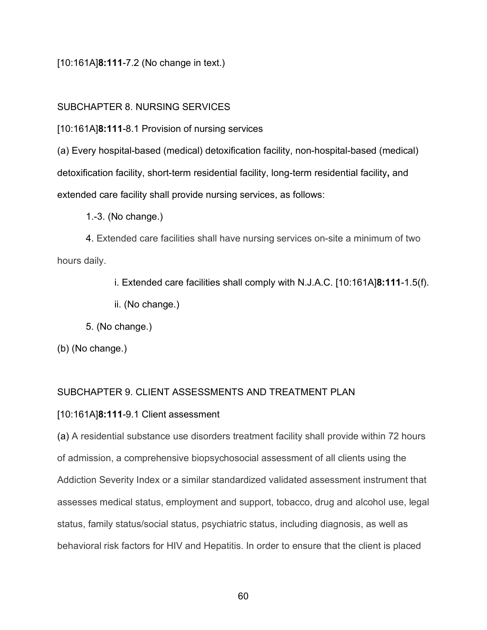[10:161A]**8:111**-7.2 (No change in text.)

# SUBCHAPTER 8. NURSING SERVICES

[10:161A]**8:111**-8.1 Provision of nursing services

(a) Every hospital-based (medical) detoxification facility, non-hospital-based (medical) detoxification facility, short-term residential facility, long-term residential facility**,** and extended care facility shall provide nursing services, as follows:

1.-3. (No change.)

4. Extended care facilities shall have nursing services on-site a minimum of two hours daily.

i. Extended care facilities shall comply with N.J.A.C. [10:161A]**8:111**-1.5(f).

ii. (No change.)

5. (No change.)

(b) (No change.)

# SUBCHAPTER 9. CLIENT ASSESSMENTS AND TREATMENT PLAN

# [10:161A]**8:111**-9.1 Client assessment

(a) A residential substance use disorders treatment facility shall provide within 72 hours of admission, a comprehensive biopsychosocial assessment of all clients using the Addiction Severity Index or a similar standardized validated assessment instrument that assesses medical status, employment and support, tobacco, drug and alcohol use, legal status, family status/social status, psychiatric status, including diagnosis, as well as behavioral risk factors for HIV and Hepatitis. In order to ensure that the client is placed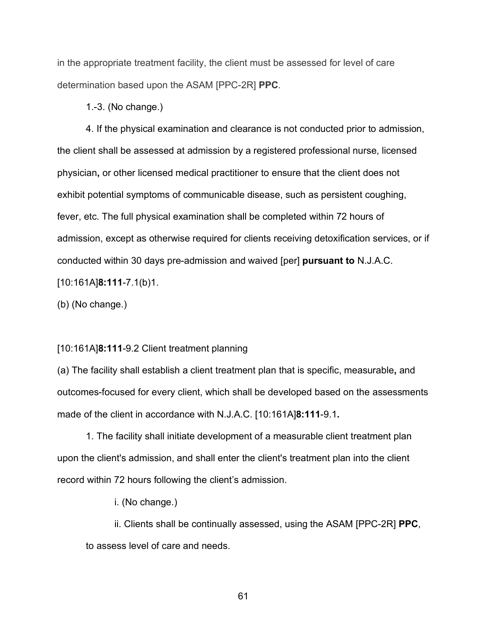in the appropriate treatment facility, the client must be assessed for level of care determination based upon the ASAM [PPC-2R] **PPC**.

1.-3. (No change.)

4. If the physical examination and clearance is not conducted prior to admission, the client shall be assessed at admission by a registered professional nurse, licensed physician**,** or other licensed medical practitioner to ensure that the client does not exhibit potential symptoms of communicable disease, such as persistent coughing, fever, etc. The full physical examination shall be completed within 72 hours of admission, except as otherwise required for clients receiving detoxification services, or if conducted within 30 days pre-admission and waived [per] **pursuant to** N.J.A.C. [10:161A]**8:111**-7.1(b)1.

(b) (No change.)

### [10:161A]**8:111**-9.2 Client treatment planning

(a) The facility shall establish a client treatment plan that is specific, measurable**,** and outcomes-focused for every client, which shall be developed based on the assessments made of the client in accordance with N.J.A.C. [10:161A]**8:111**-9.1**.**

1. The facility shall initiate development of a measurable client treatment plan upon the client's admission, and shall enter the client's treatment plan into the client record within 72 hours following the client's admission.

i. (No change.)

ii. Clients shall be continually assessed, using the ASAM [PPC-2R] **PPC**, to assess level of care and needs.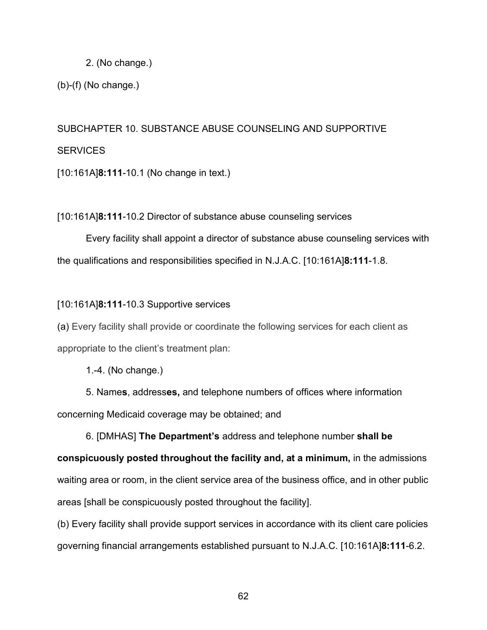### 2. (No change.)

(b)-(f) (No change.)

# SUBCHAPTER 10. SUBSTANCE ABUSE COUNSELING AND SUPPORTIVE **SERVICES**

[10:161A]**8:111**-10.1 (No change in text.)

# [10:161A]**8:111**-10.2 Director of substance abuse counseling services

Every facility shall appoint a director of substance abuse counseling services with the qualifications and responsibilities specified in N.J.A.C. [10:161A]**8:111**-1.8.

# [10:161A]**8:111**-10.3 Supportive services

(a) Every facility shall provide or coordinate the following services for each client as appropriate to the client's treatment plan:

1.-4. (No change.)

5. Name**s**, address**es,** and telephone numbers of offices where information concerning Medicaid coverage may be obtained; and

6. [DMHAS] **The Department's** address and telephone number **shall be conspicuously posted throughout the facility and, at a minimum,** in the admissions waiting area or room, in the client service area of the business office, and in other public areas [shall be conspicuously posted throughout the facility].

(b) Every facility shall provide support services in accordance with its client care policies governing financial arrangements established pursuant to N.J.A.C. [10:161A]**8:111**-6.2.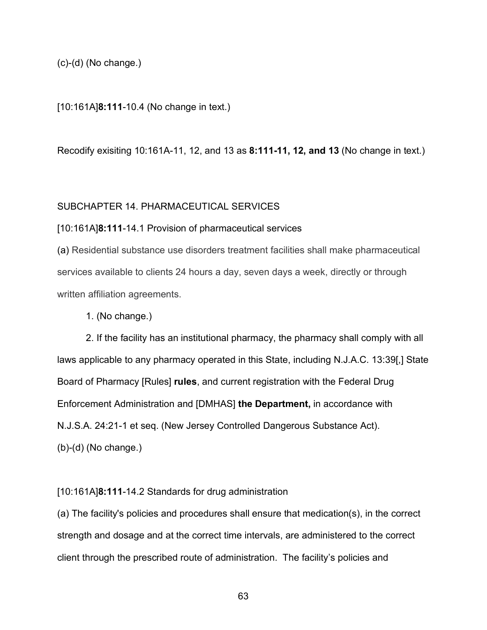(c)-(d) (No change.)

[10:161A]**8:111**-10.4 (No change in text.)

Recodify exisiting 10:161A-11, 12, and 13 as **8:111-11, 12, and 13** (No change in text.)

## SUBCHAPTER 14. PHARMACEUTICAL SERVICES

[10:161A]**8:111**-14.1 Provision of pharmaceutical services

(a) Residential substance use disorders treatment facilities shall make pharmaceutical services available to clients 24 hours a day, seven days a week, directly or through written affiliation agreements.

1. (No change.)

2. If the facility has an institutional pharmacy, the pharmacy shall comply with all laws applicable to any pharmacy operated in this State, including N.J.A.C. 13:39[,] State Board of Pharmacy [Rules] **rules**, and current registration with the Federal Drug Enforcement Administration and [DMHAS] **the Department,** in accordance with N.J.S.A. 24:21-1 et seq. (New Jersey Controlled Dangerous Substance Act). (b)-(d) (No change.)

[10:161A]**8:111**-14.2 Standards for drug administration

(a) The facility's policies and procedures shall ensure that medication(s), in the correct strength and dosage and at the correct time intervals, are administered to the correct client through the prescribed route of administration. The facility's policies and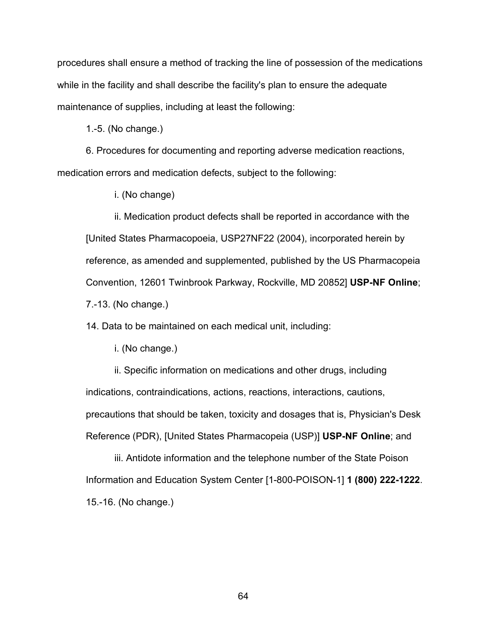procedures shall ensure a method of tracking the line of possession of the medications while in the facility and shall describe the facility's plan to ensure the adequate maintenance of supplies, including at least the following:

1.-5. (No change.)

6. Procedures for documenting and reporting adverse medication reactions, medication errors and medication defects, subject to the following:

i. (No change)

ii. Medication product defects shall be reported in accordance with the [United States Pharmacopoeia, USP27NF22 (2004), incorporated herein by reference, as amended and supplemented, published by the US Pharmacopeia Convention, 12601 Twinbrook Parkway, Rockville, MD 20852] **USP-NF Online**; 7.-13. (No change.)

14. Data to be maintained on each medical unit, including:

i. (No change.)

ii. Specific information on medications and other drugs, including indications, contraindications, actions, reactions, interactions, cautions, precautions that should be taken, toxicity and dosages that is, Physician's Desk Reference (PDR), [United States Pharmacopeia (USP)] **USP-NF Online**; and

iii. Antidote information and the telephone number of the State Poison Information and Education System Center [1-800-POISON-1] **1 (800) 222-1222**. 15.-16. (No change.)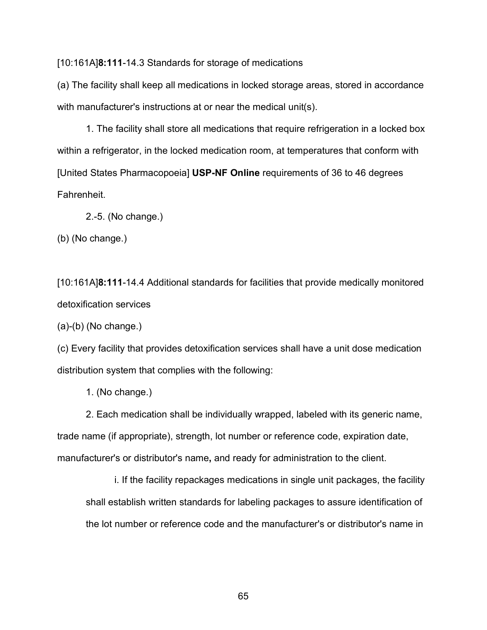[10:161A]**8:111**-14.3 Standards for storage of medications

(a) The facility shall keep all medications in locked storage areas, stored in accordance with manufacturer's instructions at or near the medical unit(s).

1. The facility shall store all medications that require refrigeration in a locked box within a refrigerator, in the locked medication room, at temperatures that conform with [United States Pharmacopoeia] **USP-NF Online** requirements of 36 to 46 degrees Fahrenheit.

2.-5. (No change.)

(b) (No change.)

[10:161A]**8:111**-14.4 Additional standards for facilities that provide medically monitored detoxification services

 $(a)-(b)$  (No change.)

(c) Every facility that provides detoxification services shall have a unit dose medication distribution system that complies with the following:

1. (No change.)

2. Each medication shall be individually wrapped, labeled with its generic name, trade name (if appropriate), strength, lot number or reference code, expiration date, manufacturer's or distributor's name**,** and ready for administration to the client.

i. If the facility repackages medications in single unit packages, the facility shall establish written standards for labeling packages to assure identification of the lot number or reference code and the manufacturer's or distributor's name in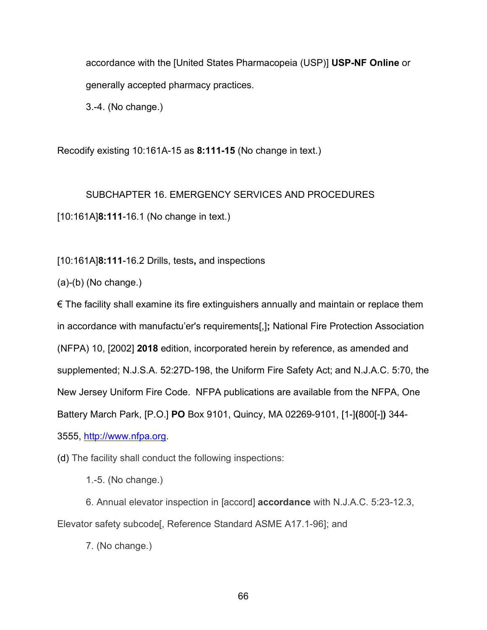accordance with the [United States Pharmacopeia (USP)] **USP-NF Online** or generally accepted pharmacy practices.

3.-4. (No change.)

Recodify existing 10:161A-15 as **8:111-15** (No change in text.)

SUBCHAPTER 16. EMERGENCY SERVICES AND PROCEDURES

[10:161A]**8:111**-16.1 (No change in text.)

[10:161A]**8:111**-16.2 Drills, tests**,** and inspections

(a)-(b) (No change.)

 $\epsilon$  The facility shall examine its fire extinguishers annually and maintain or replace them in accordance with manufactu'er's requirements[,]**;** National Fire Protection Association (NFPA) 10, [2002] **2018** edition, incorporated herein by reference, as amended and supplemented; N.J.S.A. 52:27D-198, the Uniform Fire Safety Act; and N.J.A.C. 5:70, the New Jersey Uniform Fire Code. NFPA publications are available from the NFPA, One Battery March Park, [P.O.] **PO** Box 9101, Quincy, MA 02269-9101, [1-]**(**800[-]**)** 344- 3555, [http://www.nfpa.org.](http://www.nfpa.org/)

(d) The facility shall conduct the following inspections:

1.-5. (No change.)

6. Annual elevator inspection in [accord] **accordance** with N.J.A.C. 5:23-12.3, Elevator safety subcode[, Reference Standard ASME A17.1-96]; and

7. (No change.)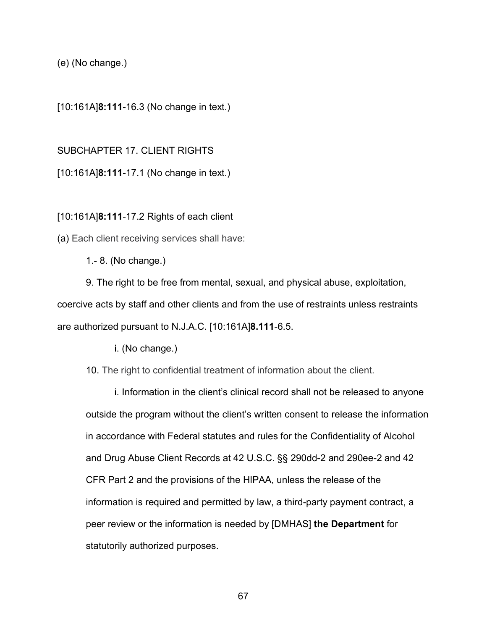(e) (No change.)

[10:161A]**8:111**-16.3 (No change in text.)

SUBCHAPTER 17. CLIENT RIGHTS

[10:161A]**8:111**-17.1 (No change in text.)

[10:161A]**8:111**-17.2 Rights of each client

(a) Each client receiving services shall have:

1.- 8. (No change.)

9. The right to be free from mental, sexual, and physical abuse, exploitation, coercive acts by staff and other clients and from the use of restraints unless restraints are authorized pursuant to N.J.A.C. [10:161A]**8.111**-6.5.

i. (No change.)

10. The right to confidential treatment of information about the client.

i. Information in the client's clinical record shall not be released to anyone outside the program without the client's written consent to release the information in accordance with Federal statutes and rules for the Confidentiality of Alcohol and Drug Abuse Client Records at 42 U.S.C. §§ 290dd-2 and 290ee-2 and 42 CFR Part 2 and the provisions of the HIPAA, unless the release of the information is required and permitted by law, a third-party payment contract, a peer review or the information is needed by [DMHAS] **the Department** for statutorily authorized purposes.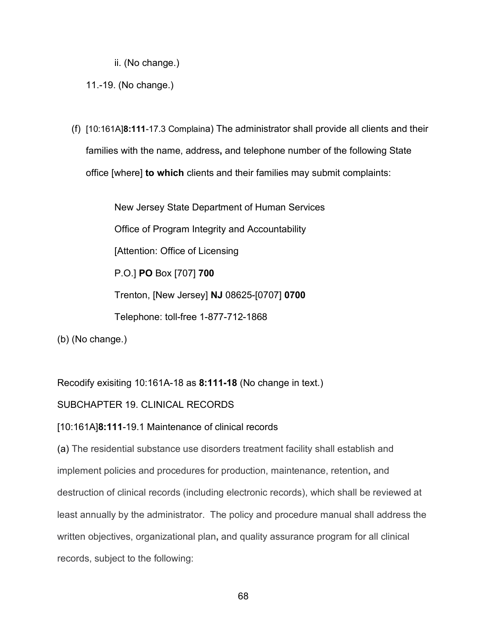ii. (No change.)

11.-19. (No change.)

(f) [10:161A]**8:111**-17.3 Complaina) The administrator shall provide all clients and their families with the name, address**,** and telephone number of the following State office [where] **to which** clients and their families may submit complaints:

> New Jersey State Department of Human Services Office of Program Integrity and Accountability [Attention: Office of Licensing P.O.] **PO** Box [707] **700** Trenton, [New Jersey] **NJ** 08625-[0707] **0700** Telephone: toll-free 1-877-712-1868

(b) (No change.)

Recodify exisiting 10:161A-18 as **8:111-18** (No change in text.)

# SUBCHAPTER 19. CLINICAL RECORDS

# [10:161A]**8:111**-19.1 Maintenance of clinical records

(a) The residential substance use disorders treatment facility shall establish and implement policies and procedures for production, maintenance, retention**,** and destruction of clinical records (including electronic records), which shall be reviewed at least annually by the administrator. The policy and procedure manual shall address the written objectives, organizational plan**,** and quality assurance program for all clinical records, subject to the following: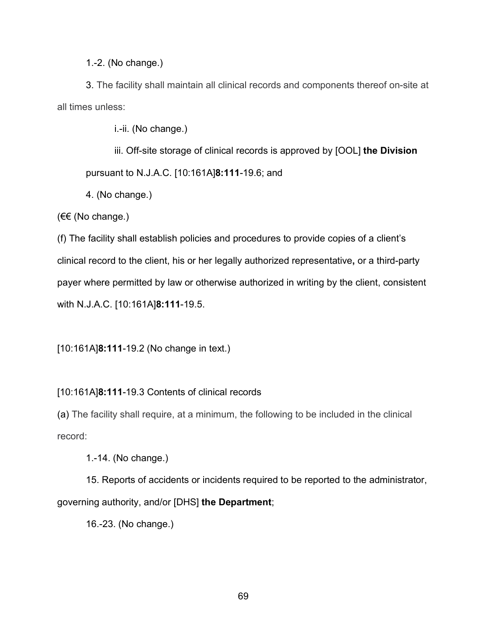1.-2. (No change.)

3. The facility shall maintain all clinical records and components thereof on-site at all times unless:

i.-ii. (No change.)

iii. Off-site storage of clinical records is approved by [OOL] **the Division** pursuant to N.J.A.C. [10:161A]**8:111**-19.6; and

4. (No change.)

(€€ (No change.)

(f) The facility shall establish policies and procedures to provide copies of a client's clinical record to the client, his or her legally authorized representative**,** or a third-party payer where permitted by law or otherwise authorized in writing by the client, consistent with N.J.A.C. [10:161A]**8:111**-19.5.

[10:161A]**8:111**-19.2 (No change in text.)

# [10:161A]**8:111**-19.3 Contents of clinical records

(a) The facility shall require, at a minimum, the following to be included in the clinical record:

1.-14. (No change.)

15. Reports of accidents or incidents required to be reported to the administrator, governing authority, and/or [DHS] **the Department**;

16.-23. (No change.)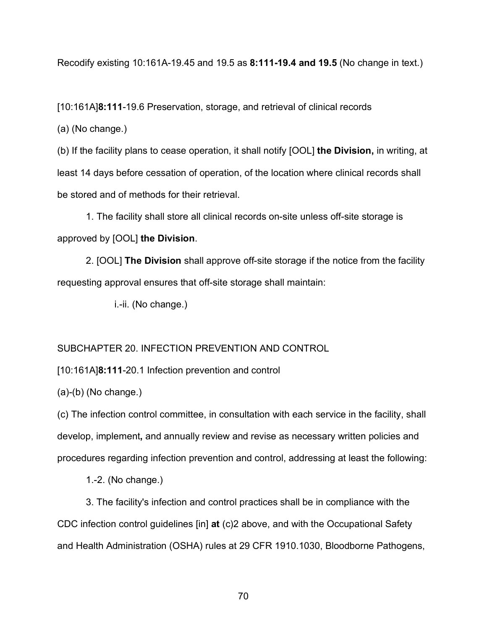Recodify existing 10:161A-19.45 and 19.5 as **8:111-19.4 and 19.5** (No change in text.)

[10:161A]**8:111**-19.6 Preservation, storage, and retrieval of clinical records

(a) (No change.)

(b) If the facility plans to cease operation, it shall notify [OOL] **the Division,** in writing, at least 14 days before cessation of operation, of the location where clinical records shall be stored and of methods for their retrieval.

1. The facility shall store all clinical records on-site unless off-site storage is approved by [OOL] **the Division**.

2. [OOL] **The Division** shall approve off-site storage if the notice from the facility requesting approval ensures that off-site storage shall maintain:

i.-ii. (No change.)

# SUBCHAPTER 20. INFECTION PREVENTION AND CONTROL

[10:161A]**8:111**-20.1 Infection prevention and control

(a)-(b) (No change.)

(c) The infection control committee, in consultation with each service in the facility, shall develop, implement**,** and annually review and revise as necessary written policies and procedures regarding infection prevention and control, addressing at least the following:

1.-2. (No change.)

3. The facility's infection and control practices shall be in compliance with the CDC infection control guidelines [in] **at** (c)2 above, and with the Occupational Safety and Health Administration (OSHA) rules at 29 CFR 1910.1030, Bloodborne Pathogens,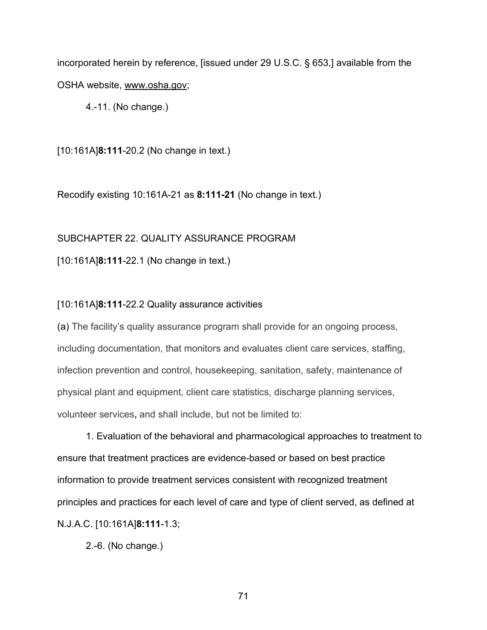incorporated herein by reference, [issued under 29 U.S.C. § 653,] available from the OSHA website, www.osha.gov;

4.-11. (No change.)

[10:161A]**8:111**-20.2 (No change in text.)

Recodify existing 10:161A-21 as **8:111-21** (No change in text.)

# SUBCHAPTER 22. QUALITY ASSURANCE PROGRAM

[10:161A]**8:111**-22.1 (No change in text.)

### [10:161A]**8:111**-22.2 Quality assurance activities

(a) The facility's quality assurance program shall provide for an ongoing process, including documentation, that monitors and evaluates client care services, staffing, infection prevention and control, housekeeping, sanitation, safety, maintenance of physical plant and equipment, client care statistics, discharge planning services, volunteer services**,** and shall include, but not be limited to:

1. Evaluation of the behavioral and pharmacological approaches to treatment to ensure that treatment practices are evidence-based or based on best practice information to provide treatment services consistent with recognized treatment principles and practices for each level of care and type of client served, as defined at N.J.A.C. [10:161A]**8:111**-1.3;

2.-6. (No change.)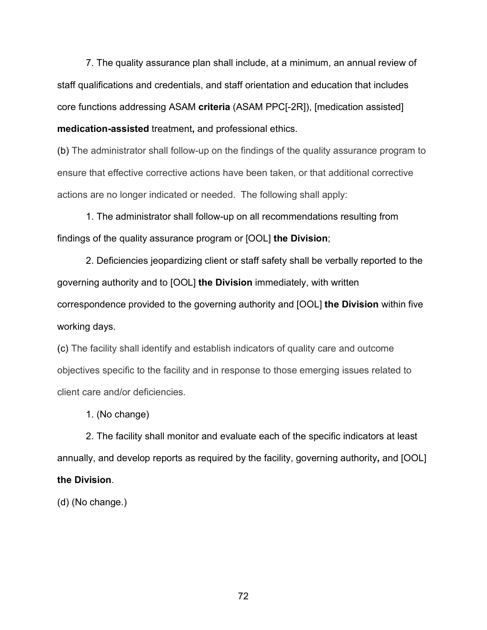7. The quality assurance plan shall include, at a minimum, an annual review of staff qualifications and credentials, and staff orientation and education that includes core functions addressing ASAM **criteria** (ASAM PPC[-2R]), [medication assisted] **medication-assisted** treatment**,** and professional ethics.

(b) The administrator shall follow-up on the findings of the quality assurance program to ensure that effective corrective actions have been taken, or that additional corrective actions are no longer indicated or needed. The following shall apply:

1. The administrator shall follow-up on all recommendations resulting from findings of the quality assurance program or [OOL] **the Division**;

2. Deficiencies jeopardizing client or staff safety shall be verbally reported to the governing authority and to [OOL] **the Division** immediately, with written correspondence provided to the governing authority and [OOL] **the Division** within five working days.

(c) The facility shall identify and establish indicators of quality care and outcome objectives specific to the facility and in response to those emerging issues related to client care and/or deficiencies.

1. (No change)

2. The facility shall monitor and evaluate each of the specific indicators at least annually, and develop reports as required by the facility, governing authority**,** and [OOL] **the Division**.

(d) (No change.)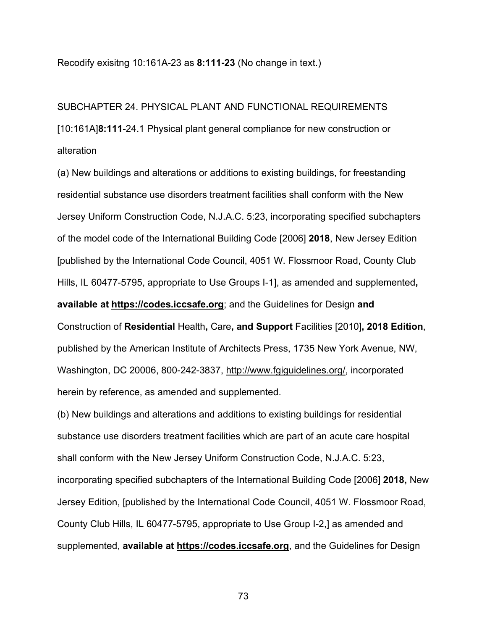Recodify exisitng 10:161A-23 as **8:111-23** (No change in text.)

# SUBCHAPTER 24. PHYSICAL PLANT AND FUNCTIONAL REQUIREMENTS [10:161A]**8:111**-24.1 Physical plant general compliance for new construction or alteration

(a) New buildings and alterations or additions to existing buildings, for freestanding residential substance use disorders treatment facilities shall conform with the New Jersey Uniform Construction Code, N.J.A.C. 5:23, incorporating specified subchapters of the model code of the International Building Code [2006] **2018**, New Jersey Edition [published by the International Code Council, 4051 W. Flossmoor Road, County Club Hills, IL 60477-5795, appropriate to Use Groups I-1], as amended and supplemented**, available at https://codes.iccsafe.org**; and the Guidelines for Design **and** Construction of **Residential** Health**,** Care**, and Support** Facilities [2010]**, 2018 Edition**, published by the American Institute of Architects Press, 1735 New York Avenue, NW, Washington, DC 20006, 800-242-3837, http://www.fgiguidelines.org/, incorporated herein by reference, as amended and supplemented.

(b) New buildings and alterations and additions to existing buildings for residential substance use disorders treatment facilities which are part of an acute care hospital shall conform with the New Jersey Uniform Construction Code, N.J.A.C. 5:23, incorporating specified subchapters of the International Building Code [2006] **2018,** New Jersey Edition, [published by the International Code Council, 4051 W. Flossmoor Road, County Club Hills, IL 60477-5795, appropriate to Use Group I-2,] as amended and supplemented, **available at https://codes.iccsafe.org**, and the Guidelines for Design

73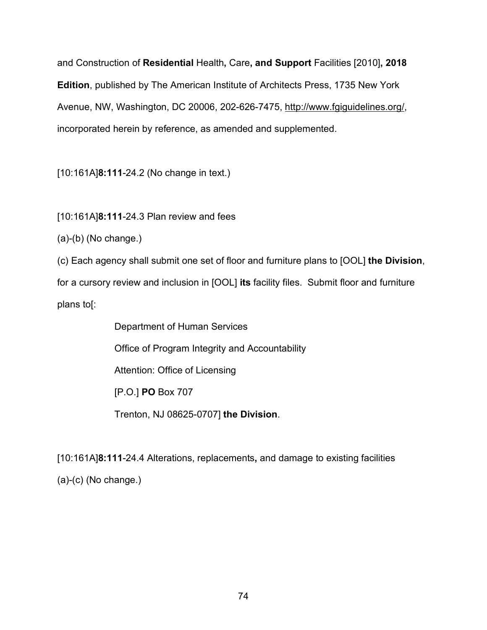and Construction of **Residential** Health**,** Care**, and Support** Facilities [2010]**, 2018 Edition**, published by The American Institute of Architects Press, 1735 New York Avenue, NW, Washington, DC 20006, 202-626-7475, http://www.fgiguidelines.org/, incorporated herein by reference, as amended and supplemented.

[10:161A]**8:111**-24.2 (No change in text.)

[10:161A]**8:111**-24.3 Plan review and fees

(a)-(b) (No change.)

(c) Each agency shall submit one set of floor and furniture plans to [OOL] **the Division**,

for a cursory review and inclusion in [OOL] **its** facility files. Submit floor and furniture plans to[:

> Department of Human Services Office of Program Integrity and Accountability Attention: Office of Licensing [P.O.] **PO** Box 707 Trenton, NJ 08625-0707] **the Division**.

[10:161A]**8:111**-24.4 Alterations, replacements**,** and damage to existing facilities (a)-(c) (No change.)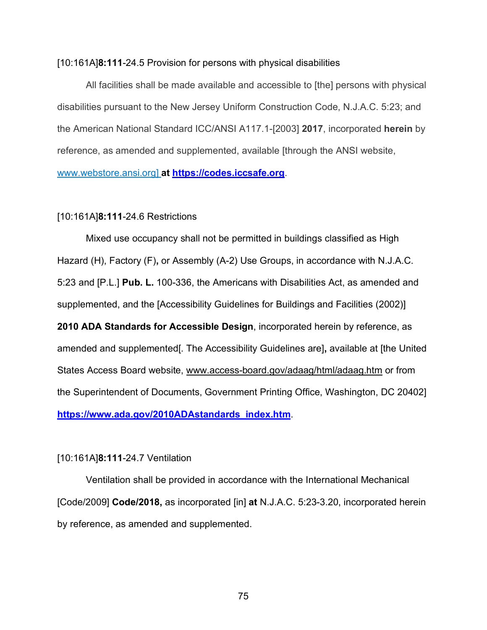### [10:161A]**8:111**-24.5 Provision for persons with physical disabilities

All facilities shall be made available and accessible to [the] persons with physical disabilities pursuant to the New Jersey Uniform Construction Code, N.J.A.C. 5:23; and the American National Standard ICC/ANSI A117.1-[2003] **2017**, incorporated **herein** by reference, as amended and supplemented, available [through the ANSI website, [www.webstore.ansi.org\]](http://www.webstore.ansi.org/) **at [https://codes.iccsafe.org](https://codes.iccsafe.org/)**.

## [10:161A]**8:111**-24.6 Restrictions

Mixed use occupancy shall not be permitted in buildings classified as High Hazard (H), Factory (F)**,** or Assembly (A-2) Use Groups, in accordance with N.J.A.C. 5:23 and [P.L.] **Pub. L.** 100-336, the Americans with Disabilities Act, as amended and supplemented, and the [Accessibility Guidelines for Buildings and Facilities (2002)] **2010 ADA Standards for Accessible Design**, incorporated herein by reference, as amended and supplemented[. The Accessibility Guidelines are]**,** available at [the United States Access Board website, www.access-board.gov/adaag/html/adaag.htm or from the Superintendent of Documents, Government Printing Office, Washington, DC 20402] **[https://www.ada.gov/2010ADAstandards\\_index.htm](https://www.ada.gov/2010ADAstandards_index.htm)**.

# [10:161A]**8:111**-24.7 Ventilation

Ventilation shall be provided in accordance with the International Mechanical [Code/2009] **Code/2018,** as incorporated [in] **at** N.J.A.C. 5:23-3.20, incorporated herein by reference, as amended and supplemented.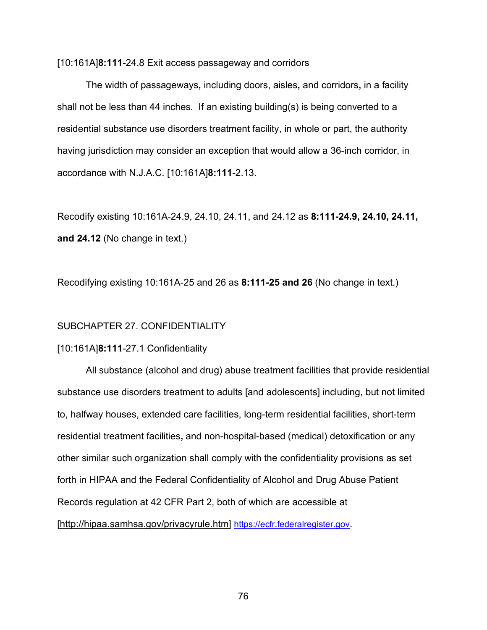[10:161A]**8:111**-24.8 Exit access passageway and corridors

The width of passageways**,** including doors, aisles**,** and corridors**,** in a facility shall not be less than 44 inches. If an existing building(s) is being converted to a residential substance use disorders treatment facility, in whole or part, the authority having jurisdiction may consider an exception that would allow a 36-inch corridor, in accordance with N.J.A.C. [10:161A]**8:111**-2.13.

Recodify existing 10:161A-24.9, 24.10, 24.11, and 24.12 as **8:111-24.9, 24.10, 24.11, and 24.12** (No change in text.)

Recodifying existing 10:161A-25 and 26 as **8:111-25 and 26** (No change in text.)

#### SUBCHAPTER 27. CONFIDENTIALITY

### [10:161A]**8:111**-27.1 Confidentiality

All substance (alcohol and drug) abuse treatment facilities that provide residential substance use disorders treatment to adults [and adolescents] including, but not limited to, halfway houses, extended care facilities, long-term residential facilities, short-term residential treatment facilities**,** and non-hospital-based (medical) detoxification or any other similar such organization shall comply with the confidentiality provisions as set forth in HIPAA and the Federal Confidentiality of Alcohol and Drug Abuse Patient Records regulation at 42 CFR Part 2, both of which are accessible a[t](http://hipaa.samhsa.gov/privacyrule.htm) [http://hipaa.samhsa.gov/privacyrule.htm] [https://ecfr.federalregister.gov.](https://ecfr.federalregister.gov/)